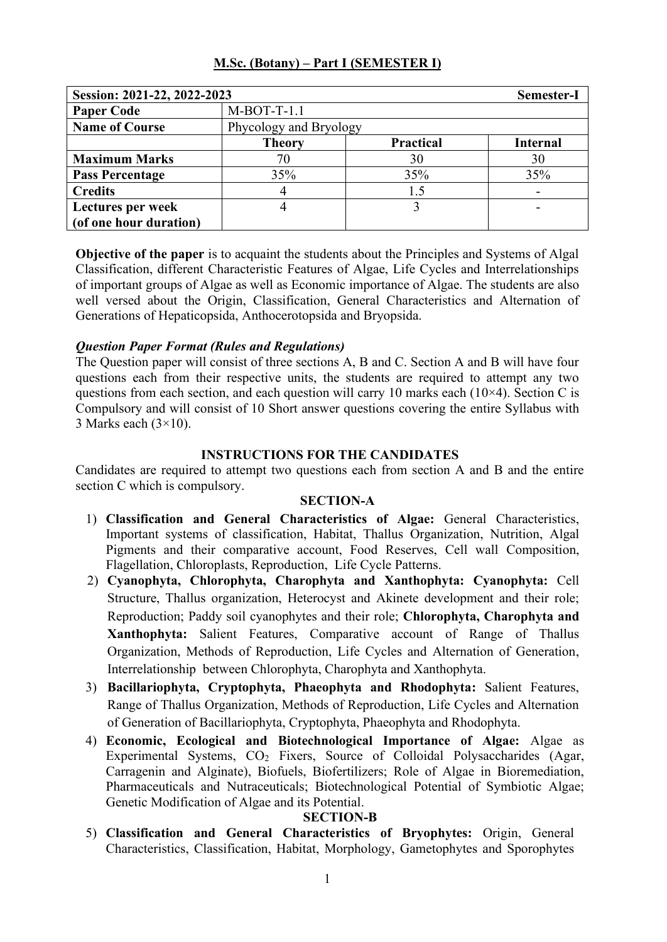|  |  |  |  | M.Sc. (Botany) – Part I (SEMESTER I) |
|--|--|--|--|--------------------------------------|
|--|--|--|--|--------------------------------------|

| Session: 2021-22, 2022-2023 | Semester-I             |                  |                 |
|-----------------------------|------------------------|------------------|-----------------|
| <b>Paper Code</b>           | $M-BOT-T-1.1$          |                  |                 |
| <b>Name of Course</b>       | Phycology and Bryology |                  |                 |
|                             | <b>Theory</b>          | <b>Practical</b> | <b>Internal</b> |
| <b>Maximum Marks</b>        | 70                     | 30               | 30              |
| <b>Pass Percentage</b>      | 35%                    | 35%              | 35%             |
| <b>Credits</b>              |                        | 1.5              |                 |
| Lectures per week           |                        |                  |                 |
| (of one hour duration)      |                        |                  |                 |

**Objective of the paper** is to acquaint the students about the Principles and Systems of Algal Classification, different Characteristic Features of Algae, Life Cycles and Interrelationships of important groups of Algae as well as Economic importance of Algae. The students are also well versed about the Origin, Classification, General Characteristics and Alternation of Generations of Hepaticopsida, Anthocerotopsida and Bryopsida.

# *Question Paper Format (Rules and Regulations)*

The Question paper will consist of three sections A, B and C. Section A and B will have four questions each from their respective units, the students are required to attempt any two questions from each section, and each question will carry 10 marks each  $(10\times4)$ . Section C is Compulsory and will consist of 10 Short answer questions covering the entire Syllabus with 3 Marks each  $(3\times10)$ .

# **INSTRUCTIONS FOR THE CANDIDATES**

Candidates are required to attempt two questions each from section A and B and the entire section C which is compulsory.

# **SECTION-A**

- 1) **Classification and General Characteristics of Algae:** General Characteristics, Important systems of classification, Habitat, Thallus Organization, Nutrition, Algal Pigments and their comparative account, Food Reserves, Cell wall Composition, Flagellation, Chloroplasts, Reproduction, Life Cycle Patterns.
- 2) **Cyanophyta, Chlorophyta, Charophyta and Xanthophyta: Cyanophyta:** Cell Structure, Thallus organization, Heterocyst and Akinete development and their role; Reproduction; Paddy soil cyanophytes and their role; **Chlorophyta, Charophyta and Xanthophyta:** Salient Features, Comparative account of Range of Thallus Organization, Methods of Reproduction, Life Cycles and Alternation of Generation, Interrelationship between Chlorophyta, Charophyta and Xanthophyta.
- 3) **Bacillariophyta, Cryptophyta, Phaeophyta and Rhodophyta:** Salient Features, Range of Thallus Organization, Methods of Reproduction, Life Cycles and Alternation of Generation of Bacillariophyta, Cryptophyta, Phaeophyta and Rhodophyta.
- 4) **Economic, Ecological and Biotechnological Importance of Algae:** Algae as Experimental Systems, CO<sub>2</sub> Fixers, Source of Colloidal Polysaccharides (Agar, Carragenin and Alginate), Biofuels, Biofertilizers; Role of Algae in Bioremediation, Pharmaceuticals and Nutraceuticals; Biotechnological Potential of Symbiotic Algae; Genetic Modification of Algae and its Potential.

# **SECTION-B**

5) **Classification and General Characteristics of Bryophytes:** Origin, General Characteristics, Classification, Habitat, Morphology, Gametophytes and Sporophytes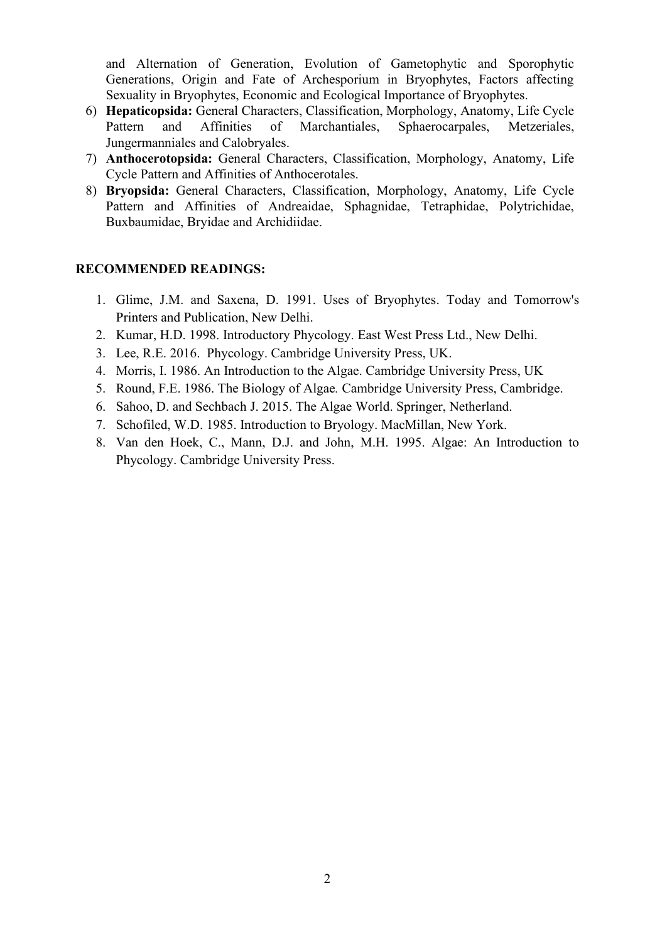and Alternation of Generation, Evolution of Gametophytic and Sporophytic Generations, Origin and Fate of Archesporium in Bryophytes, Factors affecting Sexuality in Bryophytes, Economic and Ecological Importance of Bryophytes.

- 6) **Hepaticopsida:** General Characters, Classification, Morphology, Anatomy, Life Cycle Pattern and Affinities of Marchantiales, Sphaerocarpales, Metzeriales, Jungermanniales and Calobryales.
- 7) **Anthocerotopsida:** General Characters, Classification, Morphology, Anatomy, Life Cycle Pattern and Affinities of Anthocerotales.
- 8) **Bryopsida:** General Characters, Classification, Morphology, Anatomy, Life Cycle Pattern and Affinities of Andreaidae, Sphagnidae, Tetraphidae, Polytrichidae, Buxbaumidae, Bryidae and Archidiidae.

- 1. Glime, J.M. and Saxena, D. 1991. Uses of Bryophytes. Today and Tomorrow's Printers and Publication, New Delhi.
- 2. Kumar, H.D. 1998. Introductory Phycology. East West Press Ltd., New Delhi.
- 3. Lee, R.E. 2016. Phycology. Cambridge University Press, UK.
- 4. Morris, I. 1986. An Introduction to the Algae. Cambridge University Press, UK
- 5. Round, F.E. 1986. The Biology of Algae*.* Cambridge University Press, Cambridge.
- 6. Sahoo, D. and Sechbach J. 2015. The Algae World. Springer, Netherland.
- 7. Schofiled, W.D. 1985. Introduction to Bryology. MacMillan, New York.
- 8. Van den Hoek, C., Mann, D.J. and John, M.H. 1995. Algae: An Introduction to Phycology. Cambridge University Press.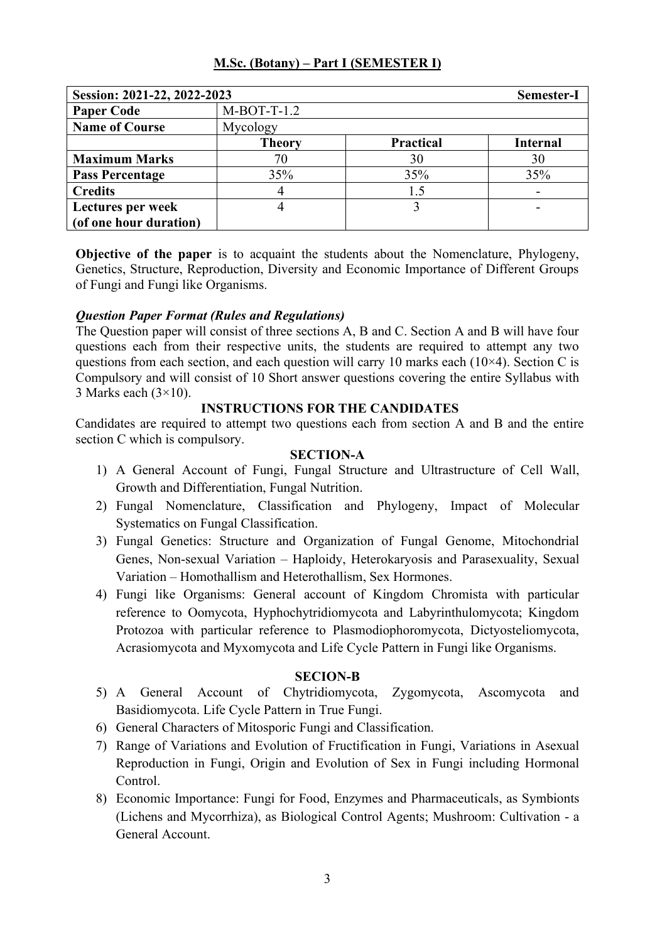| Session: 2021-22, 2022-2023 |               |                  | Semester-I      |
|-----------------------------|---------------|------------------|-----------------|
| <b>Paper Code</b>           | $M-BOT-T-1.2$ |                  |                 |
| <b>Name of Course</b>       | Mycology      |                  |                 |
|                             | <b>Theory</b> | <b>Practical</b> | <b>Internal</b> |
| <b>Maximum Marks</b>        | 70            | 30               | 30              |
| <b>Pass Percentage</b>      | 35%           | 35%              | 35%             |
| <b>Credits</b>              |               | 1.5              |                 |
| Lectures per week           |               |                  |                 |
| (of one hour duration)      |               |                  |                 |

**Objective of the paper** is to acquaint the students about the Nomenclature, Phylogeny, Genetics, Structure, Reproduction, Diversity and Economic Importance of Different Groups of Fungi and Fungi like Organisms.

### *Question Paper Format (Rules and Regulations)*

The Question paper will consist of three sections A, B and C. Section A and B will have four questions each from their respective units, the students are required to attempt any two questions from each section, and each question will carry 10 marks each  $(10\times4)$ . Section C is Compulsory and will consist of 10 Short answer questions covering the entire Syllabus with 3 Marks each  $(3\times10)$ .

### **INSTRUCTIONS FOR THE CANDIDATES**

Candidates are required to attempt two questions each from section A and B and the entire section C which is compulsory.

### **SECTION-A**

- 1) A General Account of Fungi, Fungal Structure and Ultrastructure of Cell Wall, Growth and Differentiation, Fungal Nutrition.
- 2) Fungal Nomenclature, Classification and Phylogeny, Impact of Molecular Systematics on Fungal Classification.
- 3) Fungal Genetics: Structure and Organization of Fungal Genome, Mitochondrial Genes, Non-sexual Variation – Haploidy, Heterokaryosis and Parasexuality, Sexual Variation – Homothallism and Heterothallism, Sex Hormones.
- 4) Fungi like Organisms: General account of Kingdom Chromista with particular reference to Oomycota, Hyphochytridiomycota and Labyrinthulomycota; Kingdom Protozoa with particular reference to Plasmodiophoromycota, Dictyosteliomycota, Acrasiomycota and Myxomycota and Life Cycle Pattern in Fungi like Organisms.

- 5) A General Account of Chytridiomycota, Zygomycota, Ascomycota and Basidiomycota. Life Cycle Pattern in True Fungi.
- 6) General Characters of Mitosporic Fungi and Classification.
- 7) Range of Variations and Evolution of Fructification in Fungi, Variations in Asexual Reproduction in Fungi, Origin and Evolution of Sex in Fungi including Hormonal Control.
- 8) Economic Importance: Fungi for Food, Enzymes and Pharmaceuticals, as Symbionts (Lichens and Mycorrhiza), as Biological Control Agents; Mushroom: Cultivation - a General Account.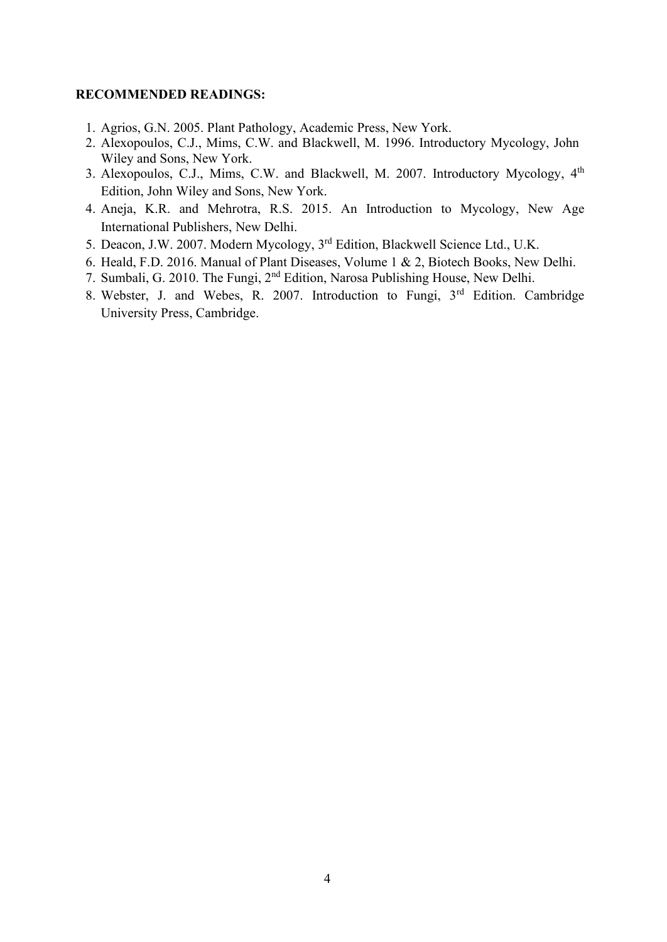- 1. Agrios, G.N. 2005. Plant Pathology, Academic Press, New York.
- 2. Alexopoulos, C.J., Mims, C.W. and Blackwell, M. 1996. Introductory Mycology, John Wiley and Sons, New York.
- 3. Alexopoulos, C.J., Mims, C.W. and Blackwell, M. 2007. Introductory Mycology, 4<sup>th</sup> Edition, John Wiley and Sons, New York.
- 4. Aneja, K.R. and Mehrotra, R.S. 2015. An Introduction to Mycology, New Age International Publishers, New Delhi.
- 5. Deacon, J.W. 2007. Modern Mycology, 3rd Edition, Blackwell Science Ltd., U.K.
- 6. Heald, F.D. 2016. Manual of Plant Diseases, Volume 1 & 2, Biotech Books, New Delhi.
- 7. Sumbali, G. 2010. The Fungi, 2nd Edition, Narosa Publishing House, New Delhi.
- 8. Webster, J. and Webes, R. 2007. Introduction to Fungi, 3rd Edition. Cambridge University Press, Cambridge.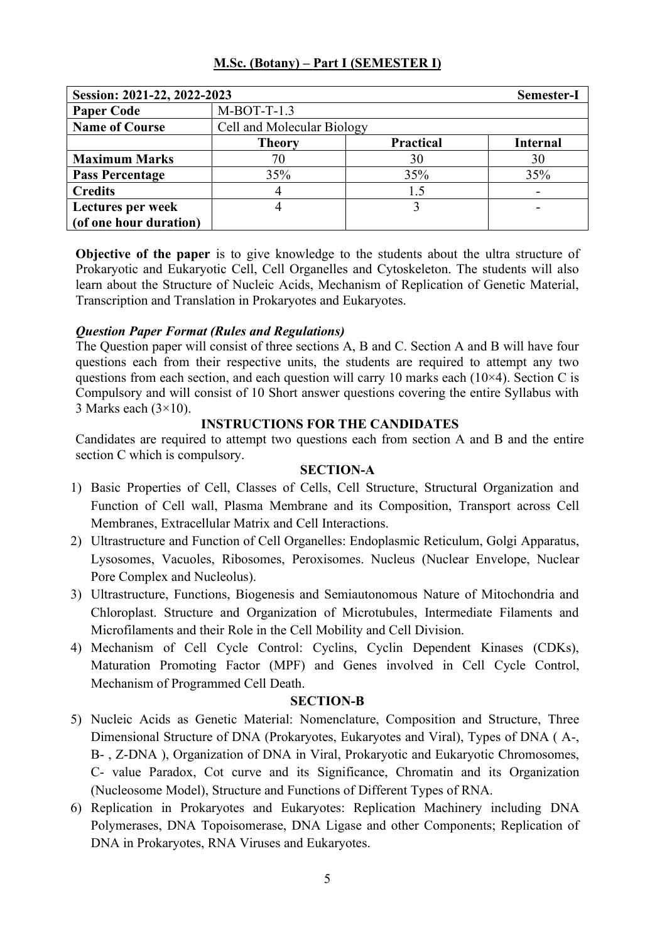| Session: 2021-22, 2022-2023 | Semester-I                                           |     |     |
|-----------------------------|------------------------------------------------------|-----|-----|
| <b>Paper Code</b>           | $M-BOT-T-1.3$                                        |     |     |
| <b>Name of Course</b>       | Cell and Molecular Biology                           |     |     |
|                             | <b>Practical</b><br><b>Internal</b><br><b>Theory</b> |     |     |
| <b>Maximum Marks</b>        | 70                                                   | 30  | 30  |
| <b>Pass Percentage</b>      | 35%                                                  | 35% | 35% |
| <b>Credits</b>              |                                                      | 1.5 |     |
| Lectures per week           |                                                      |     |     |
| (of one hour duration)      |                                                      |     |     |

**Objective of the paper** is to give knowledge to the students about the ultra structure of Prokaryotic and Eukaryotic Cell, Cell Organelles and Cytoskeleton. The students will also learn about the Structure of Nucleic Acids, Mechanism of Replication of Genetic Material, Transcription and Translation in Prokaryotes and Eukaryotes.

# *Question Paper Format (Rules and Regulations)*

The Question paper will consist of three sections A, B and C. Section A and B will have four questions each from their respective units, the students are required to attempt any two questions from each section, and each question will carry 10 marks each  $(10\times4)$ . Section C is Compulsory and will consist of 10 Short answer questions covering the entire Syllabus with 3 Marks each  $(3\times10)$ .

# **INSTRUCTIONS FOR THE CANDIDATES**

Candidates are required to attempt two questions each from section A and B and the entire section C which is compulsory.

### **SECTION-A**

- 1) Basic Properties of Cell, Classes of Cells, Cell Structure, Structural Organization and Function of Cell wall, Plasma Membrane and its Composition, Transport across Cell Membranes, Extracellular Matrix and Cell Interactions.
- 2) Ultrastructure and Function of Cell Organelles: Endoplasmic Reticulum, Golgi Apparatus, Lysosomes, Vacuoles, Ribosomes, Peroxisomes. Nucleus (Nuclear Envelope, Nuclear Pore Complex and Nucleolus).
- 3) Ultrastructure, Functions, Biogenesis and Semiautonomous Nature of Mitochondria and Chloroplast. Structure and Organization of Microtubules, Intermediate Filaments and Microfilaments and their Role in the Cell Mobility and Cell Division.
- 4) Mechanism of Cell Cycle Control: Cyclins, Cyclin Dependent Kinases (CDKs), Maturation Promoting Factor (MPF) and Genes involved in Cell Cycle Control, Mechanism of Programmed Cell Death.

- 5) Nucleic Acids as Genetic Material: Nomenclature, Composition and Structure, Three Dimensional Structure of DNA (Prokaryotes, Eukaryotes and Viral), Types of DNA ( A-, B- , Z-DNA ), Organization of DNA in Viral, Prokaryotic and Eukaryotic Chromosomes, C- value Paradox, Cot curve and its Significance, Chromatin and its Organization (Nucleosome Model), Structure and Functions of Different Types of RNA.
- 6) Replication in Prokaryotes and Eukaryotes: Replication Machinery including DNA Polymerases, DNA Topoisomerase, DNA Ligase and other Components; Replication of DNA in Prokaryotes, RNA Viruses and Eukaryotes.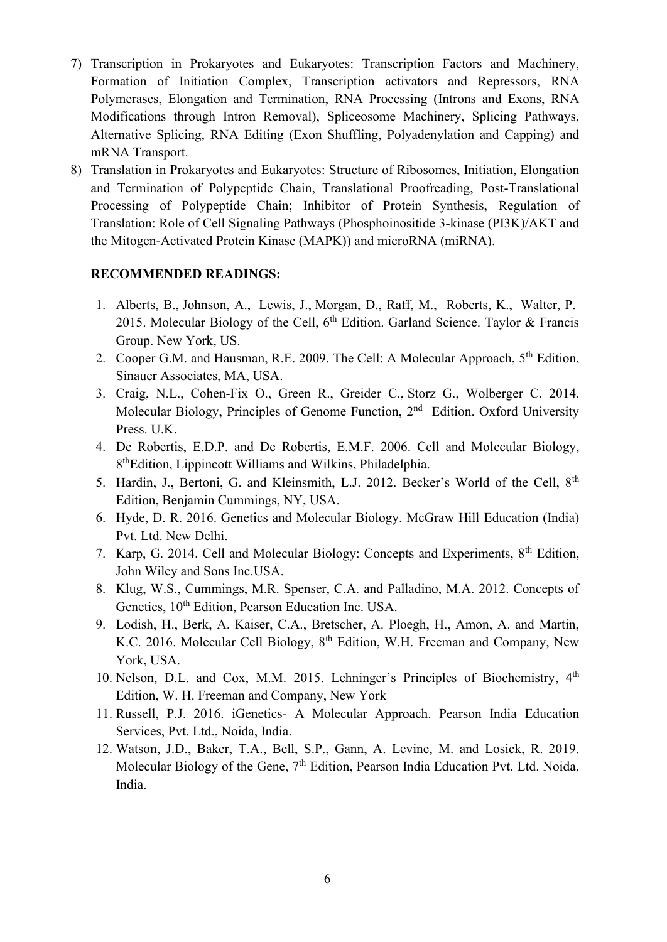- 7) Transcription in Prokaryotes and Eukaryotes: Transcription Factors and Machinery, Formation of Initiation Complex, Transcription activators and Repressors, RNA Polymerases, Elongation and Termination, RNA Processing (Introns and Exons, RNA Modifications through Intron Removal), Spliceosome Machinery, Splicing Pathways, Alternative Splicing, RNA Editing (Exon Shuffling, Polyadenylation and Capping) and mRNA Transport.
- 8) Translation in Prokaryotes and Eukaryotes: Structure of Ribosomes, Initiation, Elongation and Termination of Polypeptide Chain, Translational Proofreading, Post-Translational Processing of Polypeptide Chain; Inhibitor of Protein Synthesis, Regulation of Translation: Role of Cell Signaling Pathways (Phosphoinositide 3-kinase (PI3K)/AKT and the Mitogen-Activated Protein Kinase (MAPK)) and microRNA (miRNA).

- 1. [Alberts,](https://www.google.com/search?sxsrf=ALeKk03NrP4ipoDqohTzGFWt0ymPpOonGw:1597158041615&q=Bruce+Alberts&stick=H4sIAAAAAAAAAOPgE-LSz9U3sEw3L7LMU-IEsc2yyo0rtGSyk630k_Lzs_XLizJLSlLz4svzi7KtEktLMvKLFrHyOhWVJqcqOOYkpRaVFO9gZQQA16fjj0oAAAA&sa=X&ved=2ahUKEwi7vOGttZPrAhXFF3IKHSNiAXMQmxMoATAaegQIFhAD) B., Johnson, A., [Lewis,](https://www.google.com/search?sxsrf=ALeKk03NrP4ipoDqohTzGFWt0ymPpOonGw:1597158041615&q=Julian+Lewis+(biologist)&stick=H4sIAAAAAAAAAOPgE-LSz9U3sEw3L7LMU-IGsQ0NMvIKjU21ZLKTrfST8vOz9cuLMktKUvPiy_OLsq0SS0sy8osWsUp4leZkJuYp-KSWZxYraCRl5ufkp2cWl2juYGUEAMwfqhRXAAAA&sa=X&ved=2ahUKEwi7vOGttZPrAhXFF3IKHSNiAXMQmxMoAzAaegQIFhAF) J., Morgan, D., [Raff,](https://www.google.com/search?sxsrf=ALeKk03NrP4ipoDqohTzGFWt0ymPpOonGw:1597158041615&q=Martin+Raff&stick=H4sIAAAAAAAAAOPgE-LSz9U3sEw3L7LMUwKzTSuNK4wMtGSyk630k_Lzs_XLizJLSlLz4svzi7KtEktLMvKLFrFy-yYWlWTmKQQlpqXtYGUEAJbplMtJAAAA&sa=X&ved=2ahUKEwi7vOGttZPrAhXFF3IKHSNiAXMQmxMoAjAaegQIFhAE) M., [Roberts,](https://www.google.com/search?sxsrf=ALeKk03NrP4ipoDqohTzGFWt0ymPpOonGw:1597158041615&q=Keith+Roberts+Author&stick=H4sIAAAAAAAAAOPgE-LSz9U3sEw3L7LMUwKzMwrS0swstWSyk630k_Lzs_XLizJLSlLz4svzi7KtEktLMvKLFrGKeKdmlmQoBOUnpRaVFCs4goV3sDICAPgisEBSAAAA&sa=X&ved=2ahUKEwi7vOGttZPrAhXFF3IKHSNiAXMQmxMoBDAaegQIFhAG) K., [Walter,](https://www.google.com/search?sxsrf=ALeKk03NrP4ipoDqohTzGFWt0ymPpOonGw:1597158041615&q=Peter+Walter&stick=H4sIAAAAAAAAAOPgE-LSz9U3sEw3L7LMU-IEsZPLisrKtWSyk630k_Lzs_XLizJLSlLz4svzi7KtEktLMvKLFrHyBKSWpBYphCfmAKkdrIwAzNATL0kAAAA&sa=X&ved=2ahUKEwi7vOGttZPrAhXFF3IKHSNiAXMQmxMoBTAaegQIFhAH) P. 2015. Molecular Biology of the Cell,  $6<sup>th</sup>$  Edition. Garland Science. Taylor & Francis Group. New York, US.
- 2. Cooper G.M. and Hausman, R.E. 2009. The Cell: A Molecular Approach, 5<sup>th</sup> Edition, Sinauer Associates, MA, USA.
- 3. Craig, N.L., Cohen-Fix O., Green R., Greider C., Storz G., Wolberger C. 2014. Molecular Biology, Principles of Genome Function, 2<sup>nd</sup> Edition. Oxford University Press. U.K.
- 4. De Robertis, E.D.P. and De Robertis, E.M.F. 2006. Cell and Molecular Biology, 8 thEdition, Lippincott Williams and Wilkins, Philadelphia.
- 5. Hardin, J., Bertoni, G. and Kleinsmith, L.J. 2012. Becker's World of the Cell, 8<sup>th</sup> Edition, Benjamin Cummings, NY, USA.
- 6. Hyde, D. R. 2016. Genetics and Molecular Biology. McGraw Hill Education (India) Pvt. Ltd. New Delhi.
- 7. Karp, G. 2014. Cell and Molecular Biology: Concepts and Experiments, 8th Edition, John Wiley and Sons Inc.USA.
- 8. Klug, W.S., Cummings, M.R. Spenser, C.A. and Palladino, M.A. 2012. Concepts of Genetics,  $10^{th}$  Edition, Pearson Education Inc. USA.
- 9. Lodish, H., Berk, A. Kaiser, C.A., Bretscher, A. Ploegh, H., Amon, A. and Martin, K.C. 2016. Molecular Cell Biology, 8<sup>th</sup> Edition, W.H. Freeman and Company, New York, USA.
- 10. Nelson, D.L. and Cox, M.M. 2015. Lehninger's Principles of Biochemistry, 4<sup>th</sup> Edition, W. H. Freeman and Company, New York
- 11. Russell, P.J. 2016. iGenetics- A Molecular Approach. Pearson India Education Services, Pvt. Ltd., Noida, India.
- 12. Watson, J.D., Baker, T.A., Bell, S.P., Gann, A. Levine, M. and Losick, R. 2019. Molecular Biology of the Gene, 7<sup>th</sup> Edition, Pearson India Education Pvt. Ltd. Noida, India.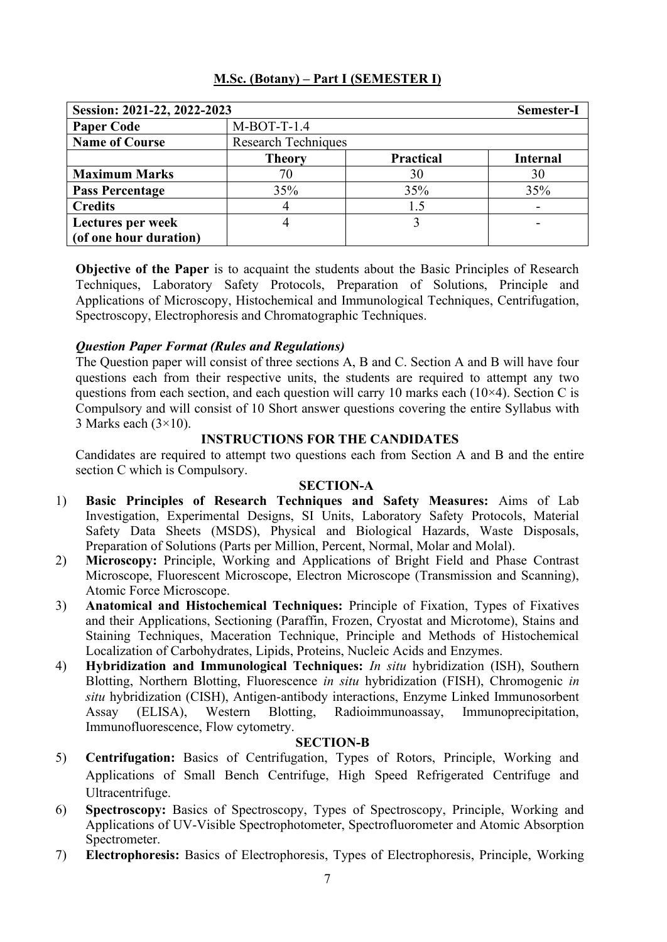| Session: 2021-22, 2022-2023 | Semester-I                 |                  |                 |
|-----------------------------|----------------------------|------------------|-----------------|
| <b>Paper Code</b>           | $M-BOT-T-1.4$              |                  |                 |
| <b>Name of Course</b>       | <b>Research Techniques</b> |                  |                 |
|                             | <b>Theory</b>              | <b>Practical</b> | <b>Internal</b> |
| <b>Maximum Marks</b>        | 70                         | 30               | 30              |
| <b>Pass Percentage</b>      | 35%                        | 35%              | 35%             |
| <b>Credits</b>              |                            | 1.5              |                 |
| Lectures per week           |                            |                  |                 |
| (of one hour duration)      |                            |                  |                 |

**Objective of the Paper** is to acquaint the students about the Basic Principles of Research Techniques, Laboratory Safety Protocols, Preparation of Solutions, Principle and Applications of Microscopy, Histochemical and Immunological Techniques, Centrifugation, Spectroscopy, Electrophoresis and Chromatographic Techniques.

# *Question Paper Format (Rules and Regulations)*

The Question paper will consist of three sections A, B and C. Section A and B will have four questions each from their respective units, the students are required to attempt any two questions from each section, and each question will carry 10 marks each ( $10\times4$ ). Section C is Compulsory and will consist of 10 Short answer questions covering the entire Syllabus with 3 Marks each  $(3\times10)$ .

### **INSTRUCTIONS FOR THE CANDIDATES**

Candidates are required to attempt two questions each from Section A and B and the entire section C which is Compulsory.

### **SECTION-A**

- 1) **Basic Principles of Research Techniques and Safety Measures:** Aims of Lab Investigation, Experimental Designs, SI Units, Laboratory Safety Protocols, Material Safety Data Sheets (MSDS), Physical and Biological Hazards, Waste Disposals, Preparation of Solutions (Parts per Million, Percent, Normal, Molar and Molal).
- 2) **Microscopy:** Principle, Working and Applications of Bright Field and Phase Contrast Microscope, Fluorescent Microscope, Electron Microscope (Transmission and Scanning), Atomic Force Microscope.
- 3) **Anatomical and Histochemical Techniques:** Principle of Fixation, Types of Fixatives and their Applications, Sectioning (Paraffin, Frozen, Cryostat and Microtome), Stains and Staining Techniques, Maceration Technique, Principle and Methods of Histochemical Localization of Carbohydrates, Lipids, Proteins, Nucleic Acids and Enzymes.
- 4) **Hybridization and Immunological Techniques:** *In situ* hybridization (ISH), Southern Blotting, Northern Blotting, Fluorescence *in situ* hybridization (FISH), Chromogenic *in situ* hybridization (CISH), Antigen-antibody interactions, Enzyme Linked Immunosorbent Assay (ELISA), Western Blotting, Radioimmunoassay, Immunoprecipitation, Immunofluorescence, Flow cytometry.

- 5) **Centrifugation:** Basics of Centrifugation, Types of Rotors, Principle, Working and Applications of Small Bench Centrifuge, High Speed Refrigerated Centrifuge and Ultracentrifuge.
- 6) **Spectroscopy:** Basics of Spectroscopy, Types of Spectroscopy, Principle, Working and Applications of UV-Visible Spectrophotometer, Spectrofluorometer and Atomic Absorption Spectrometer.
- 7) **Electrophoresis:** Basics of Electrophoresis, Types of Electrophoresis, Principle, Working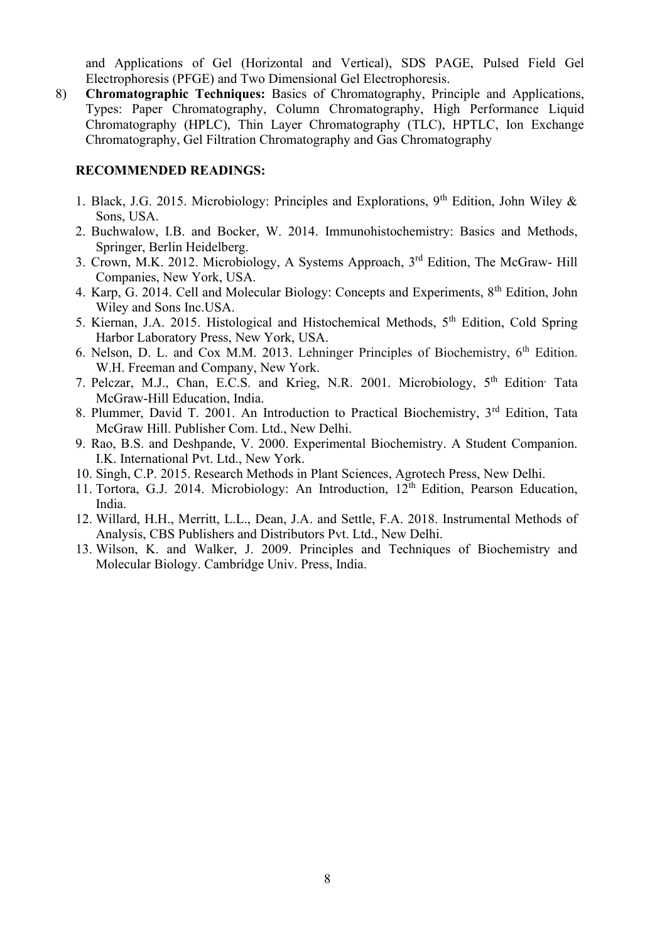and Applications of Gel (Horizontal and Vertical), SDS PAGE, Pulsed Field Gel Electrophoresis (PFGE) and Two Dimensional Gel Electrophoresis.

8) **Chromatographic Techniques:** Basics of Chromatography, Principle and Applications, Types: Paper Chromatography, Column Chromatography, High Performance Liquid Chromatography (HPLC), Thin Layer Chromatography (TLC), HPTLC, Ion Exchange Chromatography, Gel Filtration Chromatography and Gas Chromatography

- 1. Black, J.G. 2015. Microbiology: Principles and Explorations, 9<sup>th</sup> Edition, John Wiley & Sons, USA.
- 2. Buchwalow, I.B. and Bocker, W. 2014. Immunohistochemistry: Basics and Methods, Springer, Berlin Heidelberg.
- 3. Crown, M.K. 2012. Microbiology, A Systems Approach, 3<sup>rd</sup> Edition, The McGraw- Hill Companies, New York, USA.
- 4. Karp, G. 2014. Cell and Molecular Biology: Concepts and Experiments, 8<sup>th</sup> Edition, John Wiley and Sons Inc.USA.
- 5. Kiernan, J.A. 2015. Histological and Histochemical Methods, 5th Edition, Cold Spring Harbor Laboratory Press, New York, USA.
- 6. Nelson, D. L. and Cox M.M. 2013. Lehninger Principles of Biochemistry,  $6<sup>th</sup>$  Edition. W.H. Freeman and Company, New York.
- 7. Pelczar, M.J., Chan, E.C.S. and Krieg, N.R. 2001. Microbiology, 5<sup>th</sup> Edition<sup>,</sup> Tata McGraw-Hill Education, India.
- 8. Plummer, David T. 2001. An Introduction to Practical Biochemistry, 3rd Edition, Tata McGraw Hill. Publisher Com. Ltd., New Delhi.
- 9. Rao, B.S. and Deshpande, V. 2000. Experimental Biochemistry. A Student Companion. I.K. International Pvt. Ltd., New York.
- 10. Singh, C.P. 2015. Research Methods in Plant Sciences, Agrotech Press, New Delhi.
- 11. Tortora, G.J. 2014. Microbiology: An Introduction, 12<sup>th</sup> Edition, Pearson Education, India.
- 12. Willard, H.H., Merritt, L.L., Dean, J.A. and Settle, F.A. 2018. Instrumental Methods of Analysis, CBS Publishers and Distributors Pvt. Ltd., New Delhi.
- 13. Wilson, K. and Walker, J. 2009. Principles and Techniques of Biochemistry and Molecular Biology. Cambridge Univ. Press, India.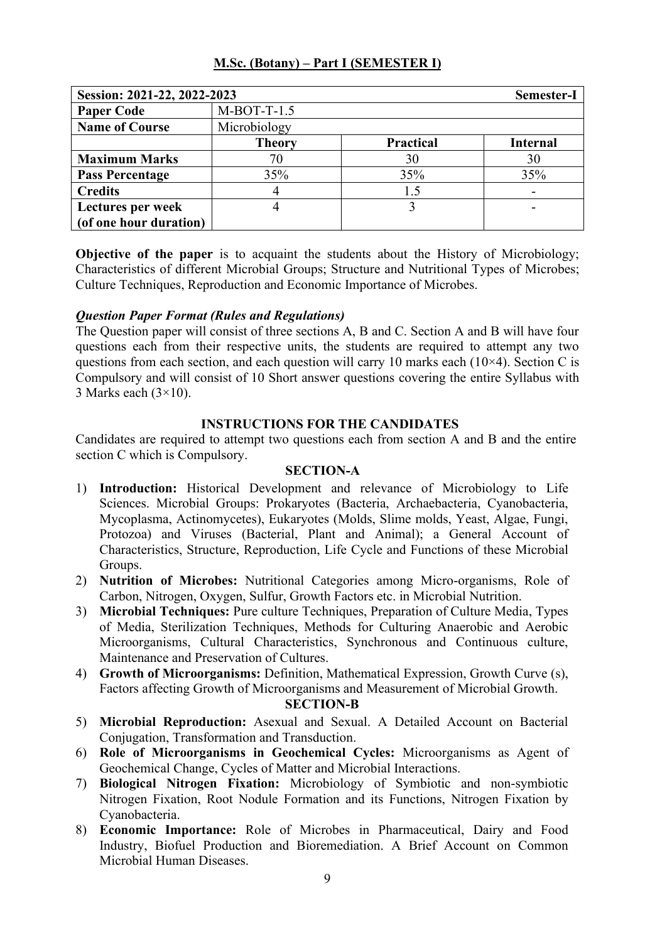| Session: 2021-22, 2022-2023 |               |                  | Semester-I      |
|-----------------------------|---------------|------------------|-----------------|
| <b>Paper Code</b>           | $M-BOT-T-1.5$ |                  |                 |
| <b>Name of Course</b>       | Microbiology  |                  |                 |
|                             | <b>Theory</b> | <b>Practical</b> | <b>Internal</b> |
| <b>Maximum Marks</b>        | 70            | 30               | 30              |
| <b>Pass Percentage</b>      | 35%           | 35%              | 35%             |
| <b>Credits</b>              |               | 1.5              |                 |
| Lectures per week           |               |                  |                 |
| (of one hour duration)      |               |                  |                 |

**Objective of the paper** is to acquaint the students about the History of Microbiology; Characteristics of different Microbial Groups; Structure and Nutritional Types of Microbes; Culture Techniques, Reproduction and Economic Importance of Microbes.

# *Question Paper Format (Rules and Regulations)*

The Question paper will consist of three sections A, B and C. Section A and B will have four questions each from their respective units, the students are required to attempt any two questions from each section, and each question will carry 10 marks each  $(10\times4)$ . Section C is Compulsory and will consist of 10 Short answer questions covering the entire Syllabus with 3 Marks each  $(3\times10)$ .

### **INSTRUCTIONS FOR THE CANDIDATES**

Candidates are required to attempt two questions each from section A and B and the entire section C which is Compulsory.

#### **SECTION-A**

- 1) **Introduction:** Historical Development and relevance of Microbiology to Life Sciences. Microbial Groups: Prokaryotes (Bacteria, Archaebacteria, Cyanobacteria, Mycoplasma, Actinomycetes), Eukaryotes (Molds, Slime molds, Yeast, Algae, Fungi, Protozoa) and Viruses (Bacterial, Plant and Animal); a General Account of Characteristics, Structure, Reproduction, Life Cycle and Functions of these Microbial Groups.
- 2) **Nutrition of Microbes:** Nutritional Categories among Micro-organisms, Role of Carbon, Nitrogen, Oxygen, Sulfur, Growth Factors etc. in Microbial Nutrition.
- 3) **Microbial Techniques:** Pure culture Techniques, Preparation of Culture Media, Types of Media, Sterilization Techniques, Methods for Culturing Anaerobic and Aerobic Microorganisms, Cultural Characteristics, Synchronous and Continuous culture, Maintenance and Preservation of Cultures.
- 4) **Growth of Microorganisms:** Definition, Mathematical Expression, Growth Curve (s), Factors affecting Growth of Microorganisms and Measurement of Microbial Growth.

- 5) **Microbial Reproduction:** Asexual and Sexual. A Detailed Account on Bacterial Conjugation, Transformation and Transduction.
- 6) **Role of Microorganisms in Geochemical Cycles:** Microorganisms as Agent of Geochemical Change, Cycles of Matter and Microbial Interactions.
- 7) **Biological Nitrogen Fixation:** Microbiology of Symbiotic and non-symbiotic Nitrogen Fixation, Root Nodule Formation and its Functions, Nitrogen Fixation by Cyanobacteria.
- 8) **Economic Importance:** Role of Microbes in Pharmaceutical, Dairy and Food Industry, Biofuel Production and Bioremediation. A Brief Account on Common Microbial Human Diseases.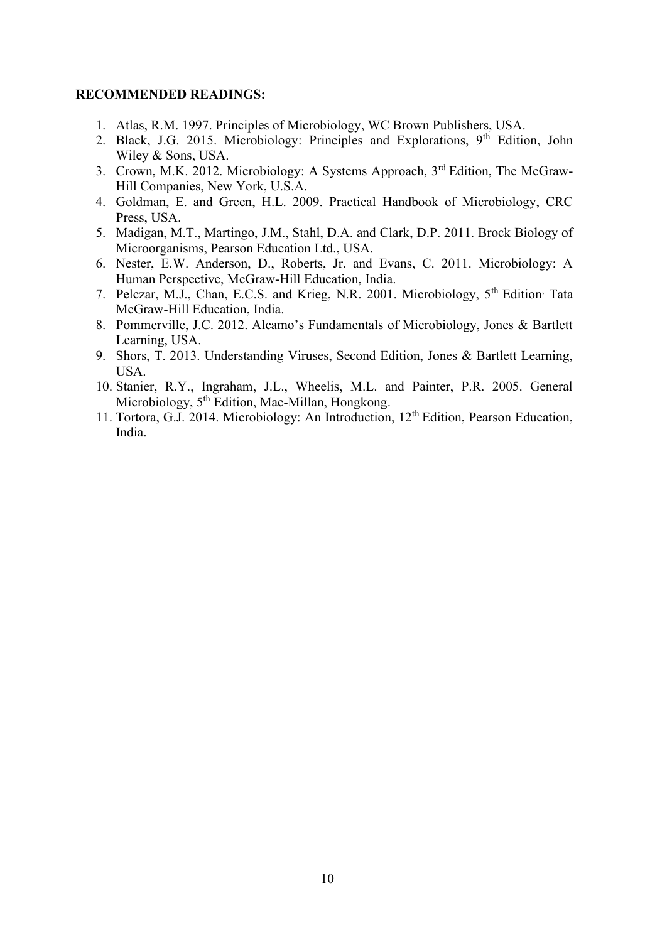- 1. Atlas, R.M. 1997. Principles of Microbiology, WC Brown Publishers, USA.
- 2. Black, J.G. 2015. Microbiology: Principles and Explorations, 9<sup>th</sup> Edition, John Wiley & Sons, USA.
- 3. Crown, M.K. 2012. Microbiology: A Systems Approach, 3rd Edition, The McGraw-Hill Companies, New York, U.S.A.
- 4. Goldman, E. and Green, H.L. 2009. Practical Handbook of Microbiology, CRC Press, USA.
- 5. Madigan, M.T., Martingo, J.M., Stahl, D.A. and Clark, D.P. 2011. Brock Biology of Microorganisms, Pearson Education Ltd., USA.
- 6. Nester, E.W. Anderson, D., Roberts, Jr. and Evans, C. 2011. Microbiology: A Human Perspective, McGraw-Hill Education, India.
- 7. Pelczar, M.J., Chan, E.C.S. and Krieg, N.R. 2001. Microbiology, 5<sup>th</sup> Edition<sup>,</sup> Tata McGraw-Hill Education, India.
- 8. Pommerville, J.C. 2012. Alcamo's Fundamentals of Microbiology, Jones & Bartlett Learning, USA.
- 9. Shors, T. 2013. Understanding Viruses, Second Edition, Jones & Bartlett Learning, USA.
- 10. Stanier, R.Y., Ingraham, J.L., Wheelis, M.L. and Painter, P.R. 2005. General Microbiology, 5<sup>th</sup> Edition, Mac-Millan, Hongkong.
- 11. Tortora, G.J. 2014. Microbiology: An Introduction, 12th Edition, Pearson Education, India.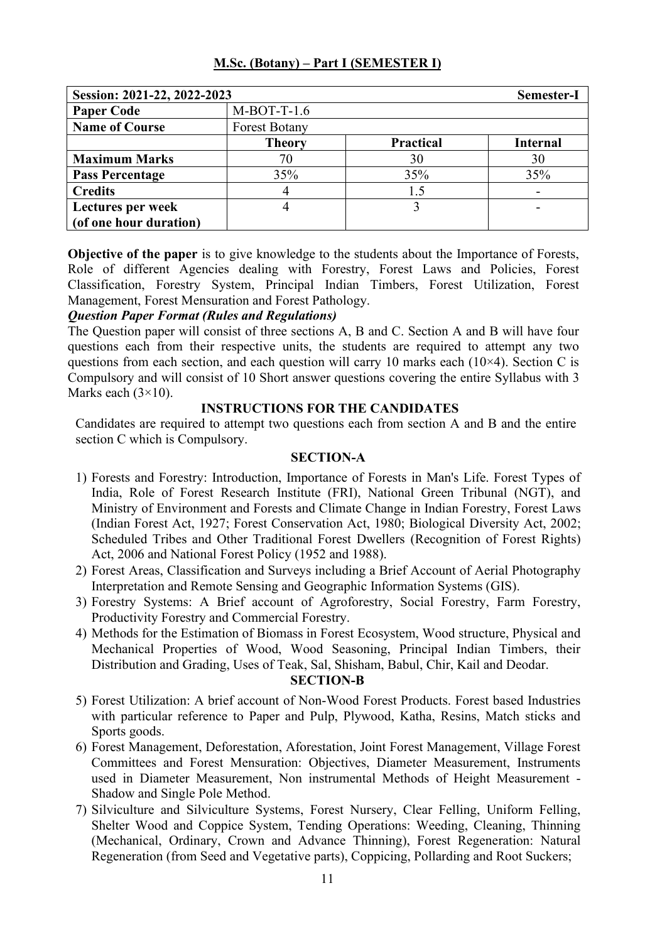| Session: 2021-22, 2022-2023 |                      |                  | Semester-I      |
|-----------------------------|----------------------|------------------|-----------------|
| <b>Paper Code</b>           | $M-BOT-T-1.6$        |                  |                 |
| <b>Name of Course</b>       | <b>Forest Botany</b> |                  |                 |
|                             | <b>Theory</b>        | <b>Practical</b> | <b>Internal</b> |
| <b>Maximum Marks</b>        | 70                   | 30               | 30              |
| <b>Pass Percentage</b>      | 35%                  | 35%              | 35%             |
| <b>Credits</b>              |                      | 1.5              |                 |
| Lectures per week           |                      |                  |                 |
| (of one hour duration)      |                      |                  |                 |

**Objective of the paper** is to give knowledge to the students about the Importance of Forests, Role of different Agencies dealing with Forestry, Forest Laws and Policies, Forest Classification, Forestry System, Principal Indian Timbers, Forest Utilization, Forest Management, Forest Mensuration and Forest Pathology.

### *Question Paper Format (Rules and Regulations)*

The Question paper will consist of three sections A, B and C. Section A and B will have four questions each from their respective units, the students are required to attempt any two questions from each section, and each question will carry 10 marks each  $(10\times4)$ . Section C is Compulsory and will consist of 10 Short answer questions covering the entire Syllabus with 3 Marks each  $(3\times10)$ .

### **INSTRUCTIONS FOR THE CANDIDATES**

Candidates are required to attempt two questions each from section A and B and the entire section C which is Compulsory.

### **SECTION-A**

- 1) Forests and Forestry: Introduction, Importance of Forests in Man's Life. Forest Types of India, Role of Forest Research Institute (FRI), National Green Tribunal (NGT), and Ministry of Environment and Forests and Climate Change in Indian Forestry, Forest Laws (Indian Forest Act, 1927; Forest Conservation Act, 1980; Biological Diversity Act, 2002; Scheduled Tribes and Other Traditional Forest Dwellers (Recognition of Forest Rights) Act, 2006 and National Forest Policy (1952 and 1988).
- 2) Forest Areas, Classification and Surveys including a Brief Account of Aerial Photography Interpretation and Remote Sensing and Geographic Information Systems (GIS).
- 3) Forestry Systems: A Brief account of Agroforestry, Social Forestry, Farm Forestry, Productivity Forestry and Commercial Forestry.
- 4) Methods for the Estimation of Biomass in Forest Ecosystem, Wood structure, Physical and Mechanical Properties of Wood, Wood Seasoning, Principal Indian Timbers, their Distribution and Grading, Uses of Teak, Sal, Shisham, Babul, Chir, Kail and Deodar.

- 5) Forest Utilization: A brief account of Non-Wood Forest Products. Forest based Industries with particular reference to Paper and Pulp, Plywood, Katha, Resins, Match sticks and Sports goods.
- 6) Forest Management, Deforestation, Aforestation, Joint Forest Management, Village Forest Committees and Forest Mensuration: Objectives, Diameter Measurement, Instruments used in Diameter Measurement, Non instrumental Methods of Height Measurement - Shadow and Single Pole Method.
- 7) Silviculture and Silviculture Systems, Forest Nursery, Clear Felling, Uniform Felling, Shelter Wood and Coppice System, Tending Operations: Weeding, Cleaning, Thinning (Mechanical, Ordinary, Crown and Advance Thinning), Forest Regeneration: Natural Regeneration (from Seed and Vegetative parts), Coppicing, Pollarding and Root Suckers;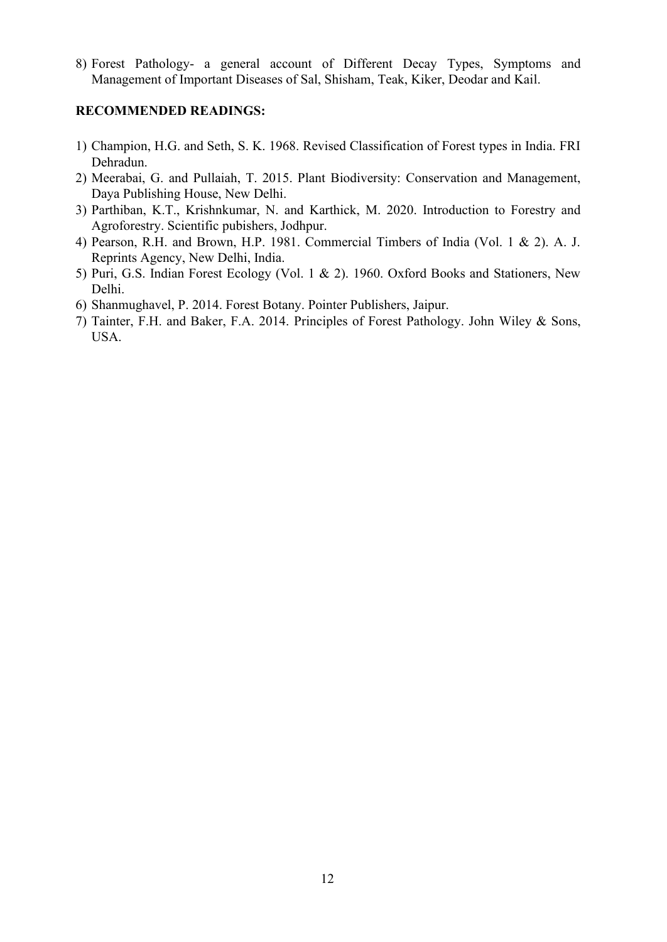8) Forest Pathology- a general account of Different Decay Types, Symptoms and Management of Important Diseases of Sal, Shisham, Teak, Kiker, Deodar and Kail.

- 1) Champion, H.G. and Seth, S. K. 1968. Revised Classification of Forest types in India. FRI Dehradun.
- 2) Meerabai, G. and Pullaiah, T. 2015. Plant Biodiversity: Conservation and Management, Daya Publishing House, New Delhi.
- 3) Parthiban, K.T., Krishnkumar, N. and Karthick, M. 2020. Introduction to Forestry and Agroforestry. Scientific pubishers, Jodhpur.
- 4) Pearson, R.H. and Brown, H.P. 1981. Commercial Timbers of India (Vol. 1 & 2). A. J. Reprints Agency, New Delhi, India.
- 5) Puri, G.S. Indian Forest Ecology (Vol. 1 & 2). 1960. Oxford Books and Stationers, New Delhi.
- 6) Shanmughavel, P. 2014. Forest Botany. Pointer Publishers, Jaipur.
- 7) Tainter, F.H. and Baker, F.A. 2014. Principles of Forest Pathology. John Wiley & Sons, USA.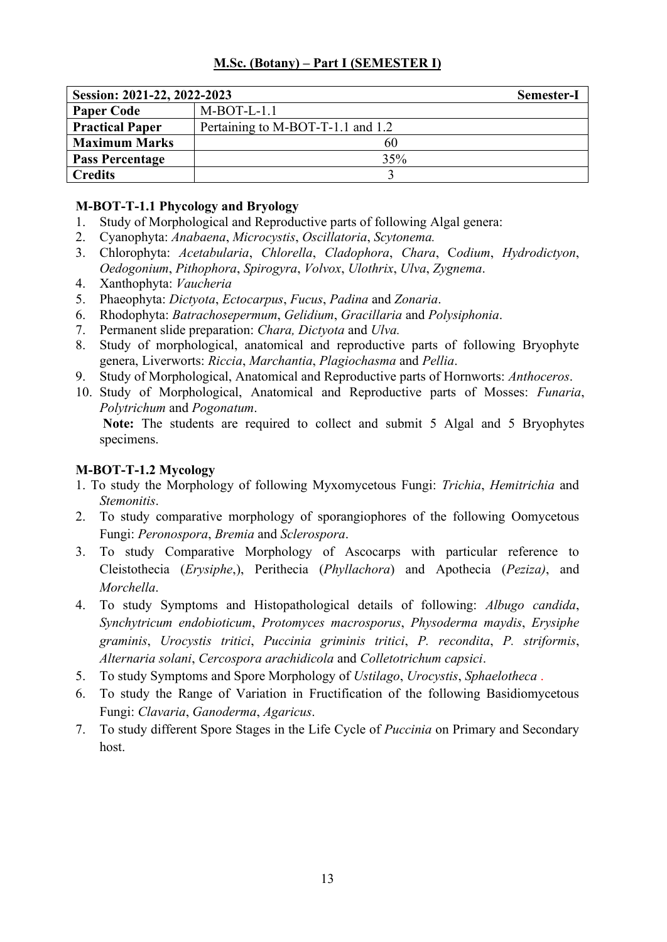| Session: 2021-22, 2022-2023 |                                   | <b>Semester-I</b> |
|-----------------------------|-----------------------------------|-------------------|
| <b>Paper Code</b>           | $M-BOT-L-1.1$                     |                   |
| <b>Practical Paper</b>      | Pertaining to M-BOT-T-1.1 and 1.2 |                   |
| <b>Maximum Marks</b>        | 60                                |                   |
| <b>Pass Percentage</b>      | 35%                               |                   |
| <b>Credits</b>              |                                   |                   |

# **M-BOT-T-1.1 Phycology and Bryology**

- 1. Study of Morphological and Reproductive parts of following Algal genera:
- 2. Cyanophyta: *Anabaena*, *Microcystis*, *Oscillatoria*, *Scytonema.*
- 3. Chlorophyta: *Acetabularia*, *Chlorella*, *Cladophora*, *Chara*, C*odium*, *Hydrodictyon*, *Oedogonium*, *Pithophora*, *Spirogyra*, *Volvox*, *Ulothrix*, *Ulva*, *Zygnema*.
- 4. Xanthophyta: *Vaucheria*
- 5. Phaeophyta: *Dictyota*, *Ectocarpus*, *Fucus*, *Padina* and *Zonaria*.
- 6. Rhodophyta: *Batrachosepermum*, *Gelidium*, *Gracillaria* and *Polysiphonia*.
- 7. Permanent slide preparation: *Chara, Dictyota* and *Ulva.*
- 8. Study of morphological, anatomical and reproductive parts of following Bryophyte genera, Liverworts: *Riccia*, *Marchantia*, *Plagiochasma* and *Pellia*.
- 9. Study of Morphological, Anatomical and Reproductive parts of Hornworts: *Anthoceros*.
- 10. Study of Morphological, Anatomical and Reproductive parts of Mosses: *Funaria*, *Polytrichum* and *Pogonatum*.

**Note:** The students are required to collect and submit 5 Algal and 5 Bryophytes specimens.

# **M-BOT-T-1.2 Mycology**

- 1. To study the Morphology of following Myxomycetous Fungi: *Trichia*, *Hemitrichia* and *Stemonitis*.
- 2. To study comparative morphology of sporangiophores of the following Oomycetous Fungi: *Peronospora*, *Bremia* and *Sclerospora*.
- 3. To study Comparative Morphology of Ascocarps with particular reference to Cleistothecia (*Erysiphe*,), Perithecia (*Phyllachora*) and Apothecia (*Peziza)*, and *Morchella*.
- 4. To study Symptoms and Histopathological details of following: *Albugo candida*, *Synchytricum endobioticum*, *Protomyces macrosporus*, *Physoderma maydis*, *Erysiphe graminis*, *Urocystis tritici*, *Puccinia griminis tritici*, *P. recondita*, *P. striformis*, *Alternaria solani*, *Cercospora arachidicola* and *Colletotrichum capsici*.
- 5. To study Symptoms and Spore Morphology of *Ustilago*, *Urocystis*, *Sphaelotheca* .
- 6. To study the Range of Variation in Fructification of the following Basidiomycetous Fungi: *Clavaria*, *Ganoderma*, *Agaricus*.
- 7. To study different Spore Stages in the Life Cycle of *Puccinia* on Primary and Secondary host.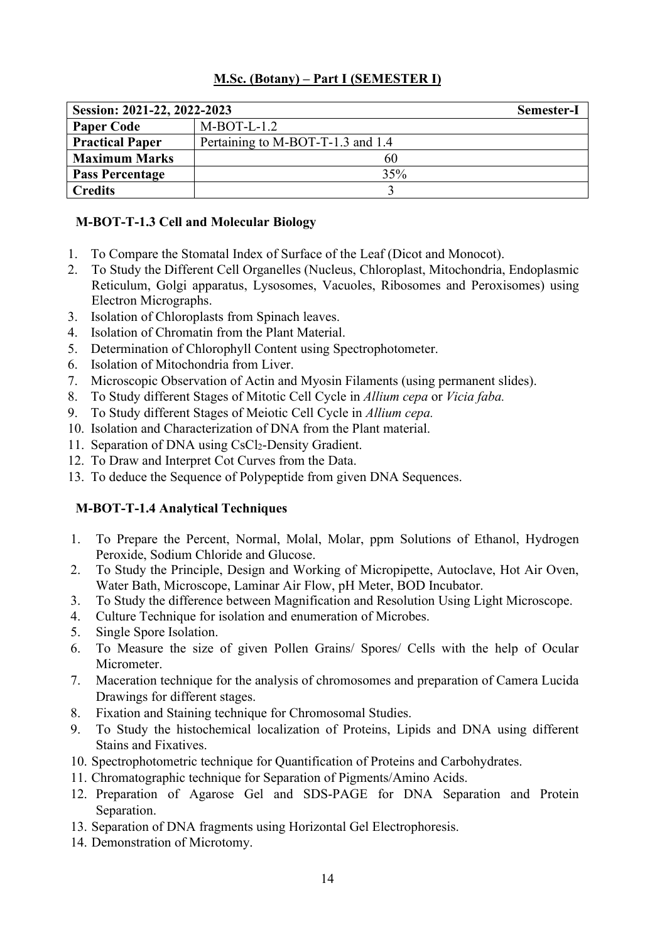| Session: 2021-22, 2022-2023 |                                   | <b>Semester-I</b> |
|-----------------------------|-----------------------------------|-------------------|
| <b>Paper Code</b>           | $M-BOT-L-1.2$                     |                   |
| <b>Practical Paper</b>      | Pertaining to M-BOT-T-1.3 and 1.4 |                   |
| <b>Maximum Marks</b>        | 60                                |                   |
| <b>Pass Percentage</b>      | 35%                               |                   |
| <b>Credits</b>              |                                   |                   |

# **M-BOT-T-1.3 Cell and Molecular Biology**

- 1. To Compare the Stomatal Index of Surface of the Leaf (Dicot and Monocot).
- 2. To Study the Different Cell Organelles (Nucleus, Chloroplast, Mitochondria, Endoplasmic Reticulum, Golgi apparatus, Lysosomes, Vacuoles, Ribosomes and Peroxisomes) using Electron Micrographs.
- 3. Isolation of Chloroplasts from Spinach leaves.
- 4. Isolation of Chromatin from the Plant Material.
- 5. Determination of Chlorophyll Content using Spectrophotometer.
- 6. Isolation of Mitochondria from Liver.
- 7. Microscopic Observation of Actin and Myosin Filaments (using permanent slides).
- 8. To Study different Stages of Mitotic Cell Cycle in *Allium cepa* or *Vicia faba.*
- 9. To Study different Stages of Meiotic Cell Cycle in *Allium cepa.*
- 10. Isolation and Characterization of DNA from the Plant material.
- 11. Separation of DNA using CsCl<sub>2</sub>-Density Gradient.
- 12. To Draw and Interpret Cot Curves from the Data.
- 13. To deduce the Sequence of Polypeptide from given DNA Sequences.

# **M-BOT-T-1.4 Analytical Techniques**

- 1. To Prepare the Percent, Normal, Molal, Molar, ppm Solutions of Ethanol, Hydrogen Peroxide, Sodium Chloride and Glucose.
- 2. To Study the Principle, Design and Working of Micropipette, Autoclave, Hot Air Oven, Water Bath, Microscope, Laminar Air Flow, pH Meter, BOD Incubator.
- 3. To Study the difference between Magnification and Resolution Using Light Microscope.
- 4. Culture Technique for isolation and enumeration of Microbes.
- 5. Single Spore Isolation.
- 6. To Measure the size of given Pollen Grains/ Spores/ Cells with the help of Ocular Micrometer.
- 7. Maceration technique for the analysis of chromosomes and preparation of Camera Lucida Drawings for different stages.
- 8. Fixation and Staining technique for Chromosomal Studies.
- 9. To Study the histochemical localization of Proteins, Lipids and DNA using different Stains and Fixatives.
- 10. Spectrophotometric technique for Quantification of Proteins and Carbohydrates.
- 11. Chromatographic technique for Separation of Pigments/Amino Acids.
- 12. Preparation of Agarose Gel and SDS-PAGE for DNA Separation and Protein Separation.
- 13. Separation of DNA fragments using Horizontal Gel Electrophoresis.
- 14. Demonstration of Microtomy.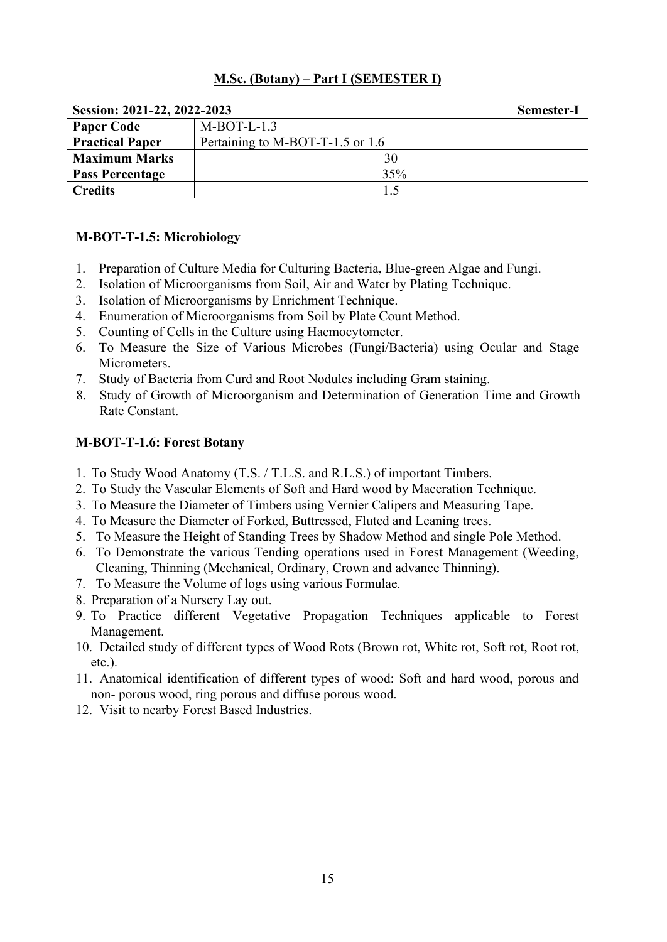| Session: 2021-22, 2022-2023 |                                  | <b>Semester-I</b> |
|-----------------------------|----------------------------------|-------------------|
| <b>Paper Code</b>           | $M-BOT-L-1.3$                    |                   |
| <b>Practical Paper</b>      | Pertaining to M-BOT-T-1.5 or 1.6 |                   |
| <b>Maximum Marks</b>        | 30                               |                   |
| <b>Pass Percentage</b>      | 35%                              |                   |
| <b>Credits</b>              | 1.5                              |                   |

# **M-BOT-T-1.5: Microbiology**

- 1. Preparation of Culture Media for Culturing Bacteria, Blue-green Algae and Fungi.
- 2. Isolation of Microorganisms from Soil, Air and Water by Plating Technique.
- 3. Isolation of Microorganisms by Enrichment Technique.
- 4. Enumeration of Microorganisms from Soil by Plate Count Method.
- 5. Counting of Cells in the Culture using Haemocytometer.
- 6. To Measure the Size of Various Microbes (Fungi/Bacteria) using Ocular and Stage Micrometers.
- 7. Study of Bacteria from Curd and Root Nodules including Gram staining.
- 8. Study of Growth of Microorganism and Determination of Generation Time and Growth Rate Constant.

# **M-BOT-T-1.6: Forest Botany**

- 1. To Study Wood Anatomy (T.S. / T.L.S. and R.L.S.) of important Timbers.
- 2. To Study the Vascular Elements of Soft and Hard wood by Maceration Technique.
- 3. To Measure the Diameter of Timbers using Vernier Calipers and Measuring Tape.
- 4. To Measure the Diameter of Forked, Buttressed, Fluted and Leaning trees.
- 5. To Measure the Height of Standing Trees by Shadow Method and single Pole Method.
- 6. To Demonstrate the various Tending operations used in Forest Management (Weeding, Cleaning, Thinning (Mechanical, Ordinary, Crown and advance Thinning).
- 7. To Measure the Volume of logs using various Formulae.
- 8. Preparation of a Nursery Lay out.
- 9. To Practice different Vegetative Propagation Techniques applicable to Forest Management.
- 10. Detailed study of different types of Wood Rots (Brown rot, White rot, Soft rot, Root rot, etc.).
- 11. Anatomical identification of different types of wood: Soft and hard wood, porous and non- porous wood, ring porous and diffuse porous wood.
- 12. Visit to nearby Forest Based Industries.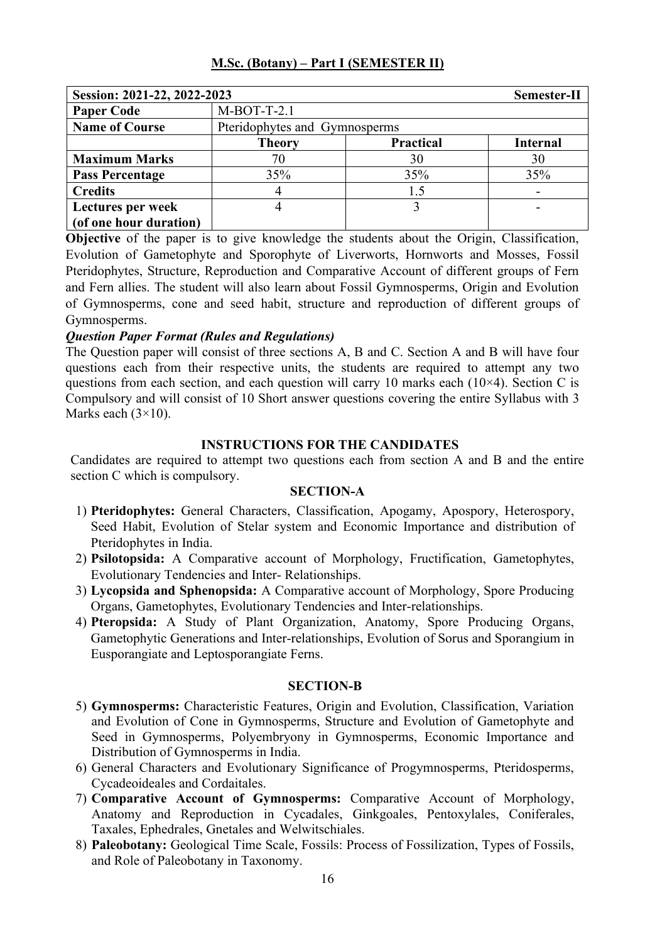| Session: 2021-22, 2022-2023 |                                                      |     | Semester-II |  |
|-----------------------------|------------------------------------------------------|-----|-------------|--|
| <b>Paper Code</b>           | $M-BOT-T-2.1$                                        |     |             |  |
| <b>Name of Course</b>       | Pteridophytes and Gymnosperms                        |     |             |  |
|                             | <b>Practical</b><br><b>Internal</b><br><b>Theory</b> |     |             |  |
| <b>Maximum Marks</b>        | 70                                                   | 30  | 30          |  |
| <b>Pass Percentage</b>      | 35%                                                  | 35% | 35%         |  |
| <b>Credits</b>              | 4                                                    | 1.5 |             |  |
| Lectures per week           | 4                                                    |     |             |  |
| (of one hour duration)      |                                                      |     |             |  |

**Objective** of the paper is to give knowledge the students about the Origin, Classification, Evolution of Gametophyte and Sporophyte of Liverworts, Hornworts and Mosses, Fossil Pteridophytes, Structure, Reproduction and Comparative Account of different groups of Fern and Fern allies. The student will also learn about Fossil Gymnosperms, Origin and Evolution of Gymnosperms, cone and seed habit, structure and reproduction of different groups of Gymnosperms.

# *Question Paper Format (Rules and Regulations)*

The Question paper will consist of three sections A, B and C. Section A and B will have four questions each from their respective units, the students are required to attempt any two questions from each section, and each question will carry 10 marks each ( $10\times4$ ). Section C is Compulsory and will consist of 10 Short answer questions covering the entire Syllabus with 3 Marks each  $(3\times10)$ .

# **INSTRUCTIONS FOR THE CANDIDATES**

Candidates are required to attempt two questions each from section A and B and the entire section C which is compulsory.

### **SECTION-A**

- 1) **Pteridophytes:** General Characters, Classification, Apogamy, Apospory, Heterospory, Seed Habit, Evolution of Stelar system and Economic Importance and distribution of Pteridophytes in India.
- 2) **Psilotopsida:** A Comparative account of Morphology, Fructification, Gametophytes, Evolutionary Tendencies and Inter- Relationships.
- 3) **Lycopsida and Sphenopsida:** A Comparative account of Morphology, Spore Producing Organs, Gametophytes, Evolutionary Tendencies and Inter-relationships.
- 4) **Pteropsida:** A Study of Plant Organization, Anatomy, Spore Producing Organs, Gametophytic Generations and Inter-relationships, Evolution of Sorus and Sporangium in Eusporangiate and Leptosporangiate Ferns.

- 5) **Gymnosperms:** Characteristic Features, Origin and Evolution, Classification, Variation and Evolution of Cone in Gymnosperms, Structure and Evolution of Gametophyte and Seed in Gymnosperms, Polyembryony in Gymnosperms, Economic Importance and Distribution of Gymnosperms in India.
- 6) General Characters and Evolutionary Significance of Progymnosperms, Pteridosperms, Cycadeoideales and Cordaitales.
- 7) **Comparative Account of Gymnosperms:** Comparative Account of Morphology, Anatomy and Reproduction in Cycadales, Ginkgoales, Pentoxylales, Coniferales, Taxales, Ephedrales, Gnetales and Welwitschiales.
- 8) **Paleobotany:** Geological Time Scale, Fossils: Process of Fossilization, Types of Fossils, and Role of Paleobotany in Taxonomy.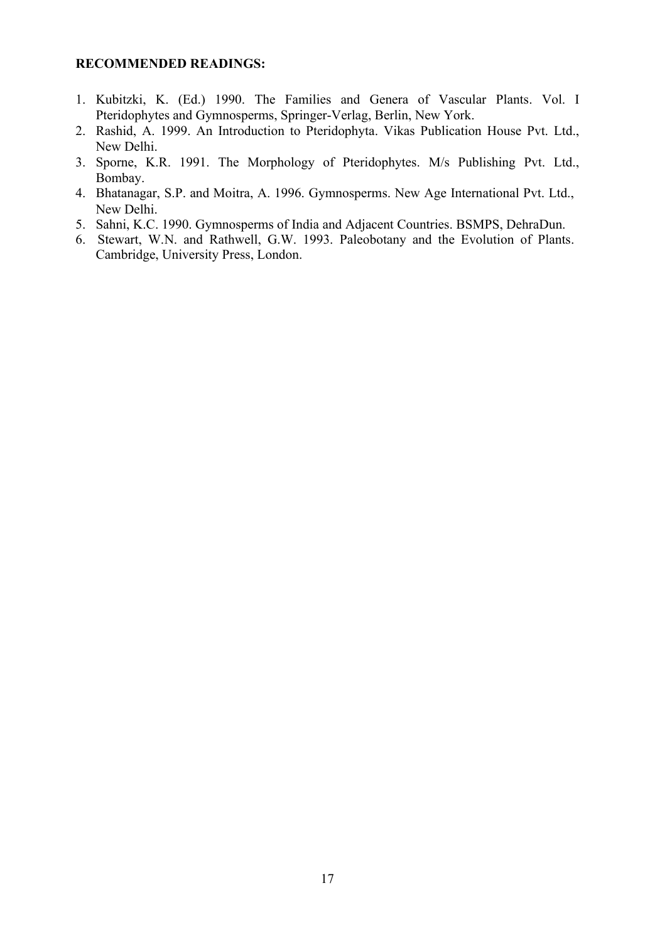- 1. Kubitzki, K. (Ed.) 1990. The Families and Genera of Vascular Plants. Vol. I Pteridophytes and Gymnosperms, Springer-Verlag, Berlin, New York.
- 2. Rashid, A. 1999. An Introduction to Pteridophyta. Vikas Publication House Pvt. Ltd., New Delhi.
- 3. Sporne, K.R. 1991. The Morphology of Pteridophytes. M/s Publishing Pvt. Ltd., Bombay.
- 4. Bhatanagar, S.P. and Moitra, A. 1996. Gymnosperms. New Age International Pvt. Ltd., New Delhi.
- 5. Sahni, K.C. 1990. Gymnosperms of India and Adjacent Countries. BSMPS, DehraDun.
- 6. Stewart, W.N. and Rathwell, G.W. 1993. Paleobotany and the Evolution of Plants. Cambridge, University Press, London.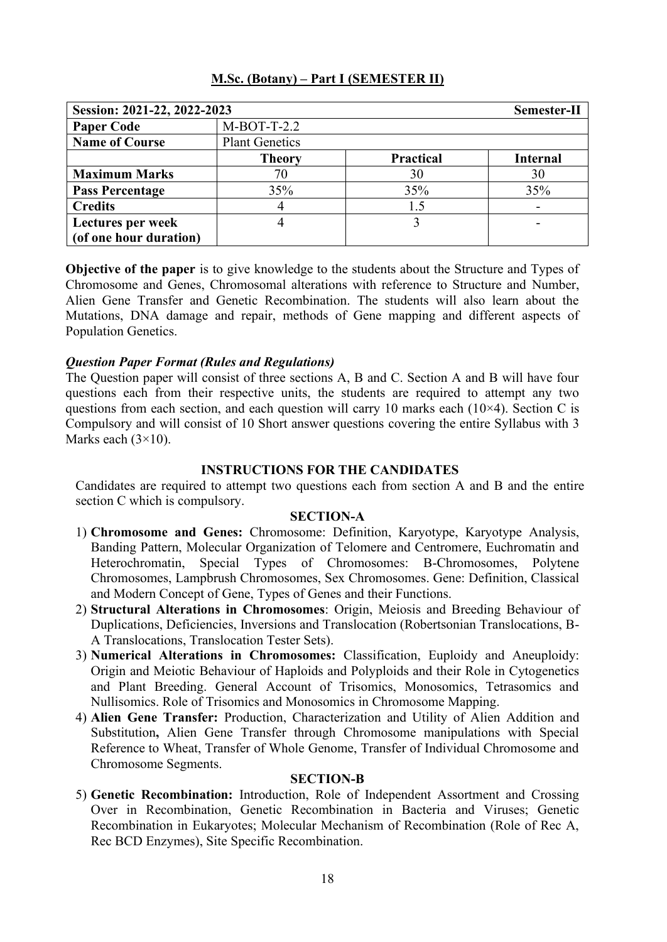| Session: 2021-22, 2022-2023 |                       |                  | Semester-II     |
|-----------------------------|-----------------------|------------------|-----------------|
| <b>Paper Code</b>           | $M-BOT-T-2.2$         |                  |                 |
| <b>Name of Course</b>       | <b>Plant Genetics</b> |                  |                 |
|                             | <b>Theory</b>         | <b>Practical</b> | <b>Internal</b> |
| <b>Maximum Marks</b>        | 70                    | 30               | 30              |
| <b>Pass Percentage</b>      | 35%                   | 35%              | 35%             |
| <b>Credits</b>              |                       | 1.5              |                 |
| Lectures per week           | 4                     |                  |                 |
| (of one hour duration)      |                       |                  |                 |

**Objective of the paper** is to give knowledge to the students about the Structure and Types of Chromosome and Genes, Chromosomal alterations with reference to Structure and Number, Alien Gene Transfer and Genetic Recombination. The students will also learn about the Mutations, DNA damage and repair, methods of Gene mapping and different aspects of Population Genetics.

### *Question Paper Format (Rules and Regulations)*

The Question paper will consist of three sections A, B and C. Section A and B will have four questions each from their respective units, the students are required to attempt any two questions from each section, and each question will carry 10 marks each  $(10\times4)$ . Section C is Compulsory and will consist of 10 Short answer questions covering the entire Syllabus with 3 Marks each  $(3\times10)$ .

### **INSTRUCTIONS FOR THE CANDIDATES**

Candidates are required to attempt two questions each from section A and B and the entire section C which is compulsory.

#### **SECTION-A**

- 1) **Chromosome and Genes:** Chromosome: Definition, Karyotype, Karyotype Analysis, Banding Pattern, Molecular Organization of Telomere and Centromere, Euchromatin and Heterochromatin, Special Types of Chromosomes: B-Chromosomes, Polytene Chromosomes, Lampbrush Chromosomes, Sex Chromosomes. Gene: Definition, Classical and Modern Concept of Gene, Types of Genes and their Functions.
- 2) **Structural Alterations in Chromosomes**: Origin, Meiosis and Breeding Behaviour of Duplications, Deficiencies, Inversions and Translocation (Robertsonian Translocations, B-A Translocations, Translocation Tester Sets).
- 3) **Numerical Alterations in Chromosomes:** Classification, Euploidy and Aneuploidy: Origin and Meiotic Behaviour of Haploids and Polyploids and their Role in Cytogenetics and Plant Breeding. General Account of Trisomics, Monosomics, Tetrasomics and Nullisomics. Role of Trisomics and Monosomics in Chromosome Mapping.
- 4) **Alien Gene Transfer:** Production, Characterization and Utility of Alien Addition and Substitution**,** Alien Gene Transfer through Chromosome manipulations with Special Reference to Wheat, Transfer of Whole Genome, Transfer of Individual Chromosome and Chromosome Segments.

### **SECTION-B**

5) **Genetic Recombination:** Introduction, Role of Independent Assortment and Crossing Over in Recombination, Genetic Recombination in Bacteria and Viruses; Genetic Recombination in Eukaryotes; Molecular Mechanism of Recombination (Role of Rec A, Rec BCD Enzymes), Site Specific Recombination.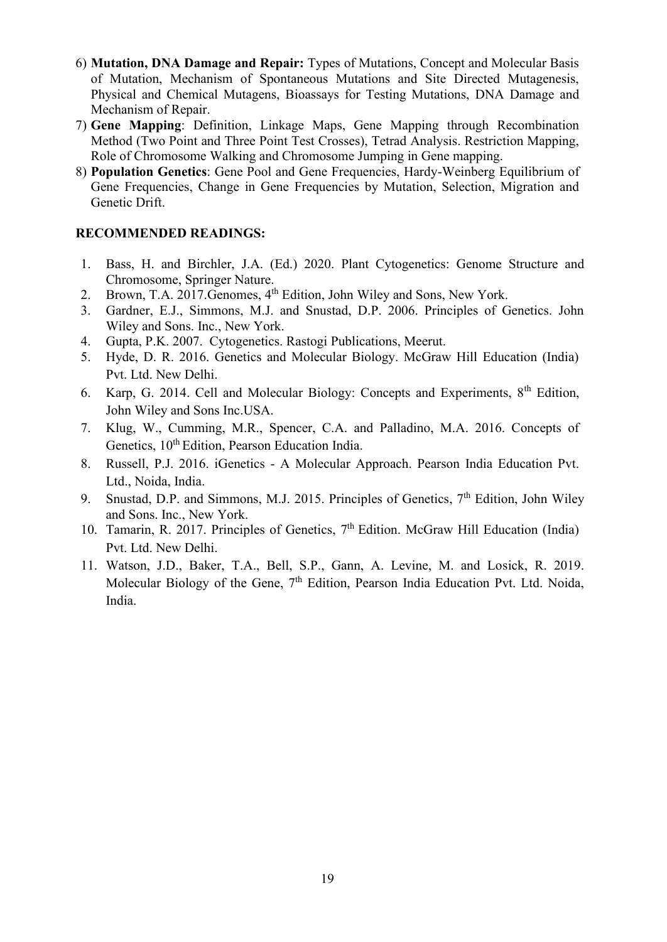- 6) **Mutation, DNA Damage and Repair:** Types of Mutations, Concept and Molecular Basis of Mutation, Mechanism of Spontaneous Mutations and Site Directed Mutagenesis, Physical and Chemical Mutagens, Bioassays for Testing Mutations, DNA Damage and Mechanism of Repair.
- 7) **Gene Mapping**: Definition, Linkage Maps, Gene Mapping through Recombination Method (Two Point and Three Point Test Crosses), Tetrad Analysis. Restriction Mapping, Role of Chromosome Walking and Chromosome Jumping in Gene mapping.
- 8) **Population Genetics**: Gene Pool and Gene Frequencies, Hardy-Weinberg Equilibrium of Gene Frequencies, Change in Gene Frequencies by Mutation, Selection, Migration and Genetic Drift.

- 1. Bass, H. and Birchler, J.A. (Ed.) 2020. Plant Cytogenetics: Genome Structure and Chromosome, Springer Nature.
- 2. Brown, T.A. 2017. Genomes, 4<sup>th</sup> Edition, John Wiley and Sons, New York.
- 3. Gardner, E.J., Simmons, M.J. and Snustad, D.P. 2006. Principles of Genetics. John Wiley and Sons. Inc., New York.
- 4. Gupta, P.K. 2007. Cytogenetics. Rastogi Publications, Meerut.
- 5. Hyde, D. R. 2016. Genetics and Molecular Biology. McGraw Hill Education (India) Pvt. Ltd. New Delhi.
- 6. Karp, G. 2014. Cell and Molecular Biology: Concepts and Experiments, 8th Edition, John Wiley and Sons Inc.USA.
- 7. Klug, W., Cumming, M.R., Spencer, C.A. and Palladino, M.A. 2016. Concepts of Genetics, 10<sup>th</sup> Edition, Pearson Education India.
- 8. Russell, P.J. 2016. iGenetics A Molecular Approach. Pearson India Education Pvt. Ltd., Noida, India.
- 9. Snustad, D.P. and Simmons, M.J. 2015. Principles of Genetics,  $7<sup>th</sup>$  Edition, John Wiley and Sons. Inc., New York.
- 10. Tamarin, R. 2017. Principles of Genetics, 7<sup>th</sup> Edition. McGraw Hill Education (India) Pvt. Ltd. New Delhi.
- 11. Watson, J.D., Baker, T.A., Bell, S.P., Gann, A. Levine, M. and Losick, R. 2019. Molecular Biology of the Gene, 7<sup>th</sup> Edition, Pearson India Education Pvt. Ltd. Noida, India.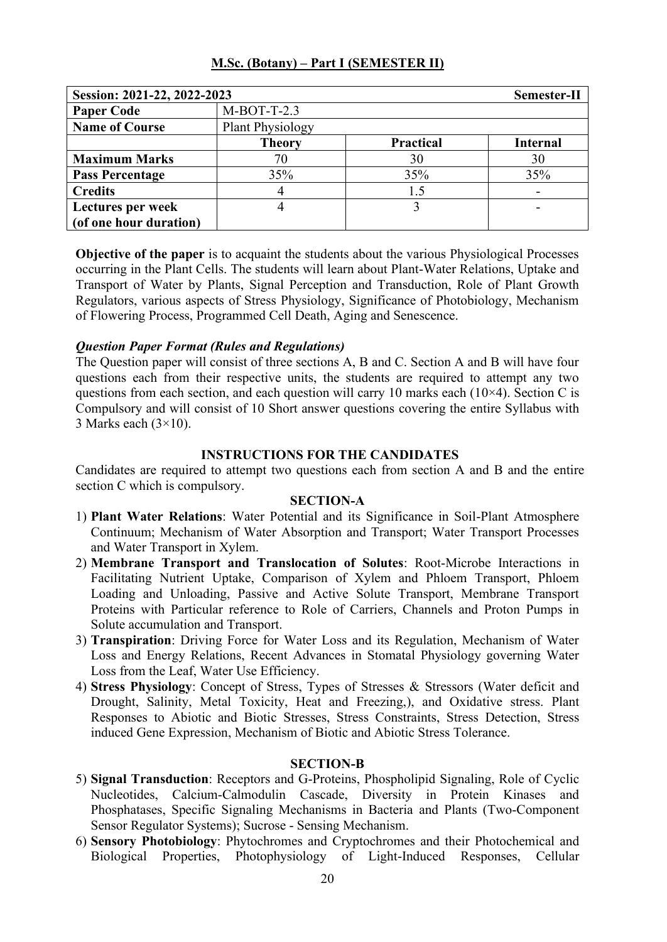| Session: 2021-22, 2022-2023 |                         |                  | Semester-II     |
|-----------------------------|-------------------------|------------------|-----------------|
| <b>Paper Code</b>           | $M-BOT-T-2.3$           |                  |                 |
| <b>Name of Course</b>       | <b>Plant Physiology</b> |                  |                 |
|                             | <b>Theory</b>           | <b>Practical</b> | <b>Internal</b> |
| <b>Maximum Marks</b>        | 70                      | 30               | 30              |
| <b>Pass Percentage</b>      | 35%                     | 35%              | 35%             |
| <b>Credits</b>              | 4                       | 1.5              |                 |
| Lectures per week           |                         |                  |                 |
| (of one hour duration)      |                         |                  |                 |

**Objective of the paper** is to acquaint the students about the various Physiological Processes occurring in the Plant Cells. The students will learn about Plant-Water Relations, Uptake and Transport of Water by Plants, Signal Perception and Transduction, Role of Plant Growth Regulators, various aspects of Stress Physiology, Significance of Photobiology, Mechanism of Flowering Process, Programmed Cell Death, Aging and Senescence.

### *Question Paper Format (Rules and Regulations)*

The Question paper will consist of three sections A, B and C. Section A and B will have four questions each from their respective units, the students are required to attempt any two questions from each section, and each question will carry 10 marks each (10×4). Section C is Compulsory and will consist of 10 Short answer questions covering the entire Syllabus with 3 Marks each  $(3\times10)$ .

### **INSTRUCTIONS FOR THE CANDIDATES**

Candidates are required to attempt two questions each from section A and B and the entire section C which is compulsory.

### **SECTION-A**

- 1) **Plant Water Relations**: Water Potential and its Significance in Soil-Plant Atmosphere Continuum; Mechanism of Water Absorption and Transport; Water Transport Processes and Water Transport in Xylem.
- 2) **Membrane Transport and Translocation of Solutes**: Root-Microbe Interactions in Facilitating Nutrient Uptake, Comparison of Xylem and Phloem Transport, Phloem Loading and Unloading, Passive and Active Solute Transport, Membrane Transport Proteins with Particular reference to Role of Carriers, Channels and Proton Pumps in Solute accumulation and Transport.
- 3) **Transpiration**: Driving Force for Water Loss and its Regulation, Mechanism of Water Loss and Energy Relations, Recent Advances in Stomatal Physiology governing Water Loss from the Leaf, Water Use Efficiency.
- 4) **Stress Physiology**: Concept of Stress, Types of Stresses & Stressors (Water deficit and Drought, Salinity, Metal Toxicity, Heat and Freezing,), and Oxidative stress. Plant Responses to Abiotic and Biotic Stresses, Stress Constraints, Stress Detection, Stress induced Gene Expression, Mechanism of Biotic and Abiotic Stress Tolerance.

- 5) **Signal Transduction**: Receptors and G-Proteins, Phospholipid Signaling, Role of Cyclic Nucleotides, Calcium-Calmodulin Cascade, Diversity in Protein Kinases and Phosphatases, Specific Signaling Mechanisms in Bacteria and Plants (Two-Component Sensor Regulator Systems); Sucrose - Sensing Mechanism.
- 6) **Sensory Photobiology**: Phytochromes and Cryptochromes and their Photochemical and Biological Properties, Photophysiology of Light-Induced Responses, Cellular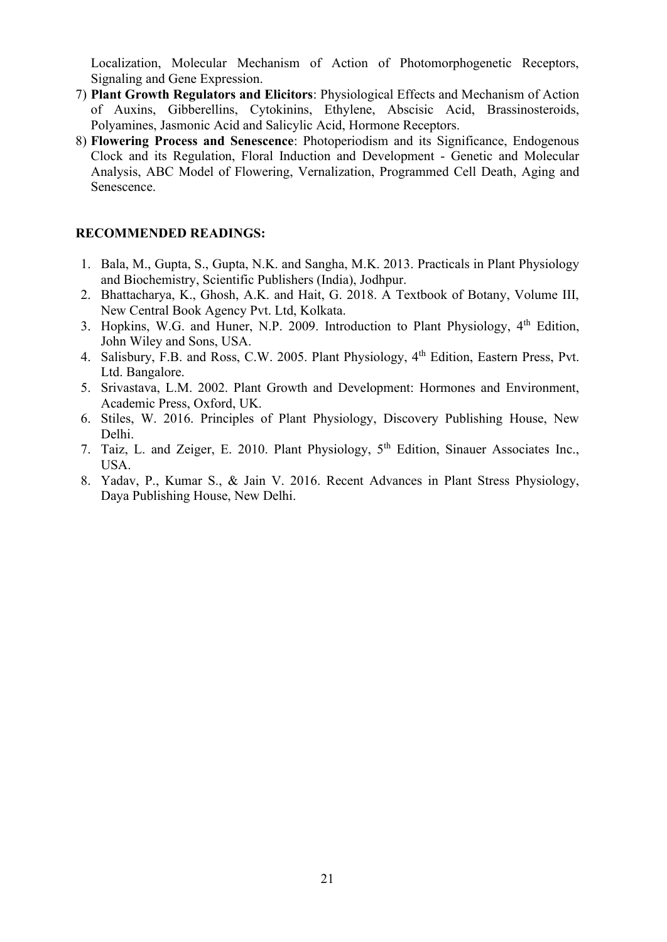Localization, Molecular Mechanism of Action of Photomorphogenetic Receptors, Signaling and Gene Expression.

- 7) **Plant Growth Regulators and Elicitors**: Physiological Effects and Mechanism of Action of Auxins, Gibberellins, Cytokinins, Ethylene, Abscisic Acid, Brassinosteroids, Polyamines, Jasmonic Acid and Salicylic Acid, Hormone Receptors.
- 8) **Flowering Process and Senescence**: Photoperiodism and its Significance, Endogenous Clock and its Regulation, Floral Induction and Development - Genetic and Molecular Analysis, ABC Model of Flowering, Vernalization, Programmed Cell Death, Aging and Senescence.

- 1. Bala, M., Gupta, S., Gupta, N.K. and Sangha, M.K. 2013. Practicals in Plant Physiology and Biochemistry, Scientific Publishers (India), Jodhpur.
- 2. Bhattacharya, K., Ghosh, A.K. and Hait, G. 2018. A Textbook of Botany, Volume III, New Central Book Agency Pvt. Ltd, Kolkata.
- 3. Hopkins, W.G. and Huner, N.P. 2009. Introduction to Plant Physiology, 4<sup>th</sup> Edition, John Wiley and Sons, USA.
- 4. Salisbury, F.B. and Ross, C.W. 2005. Plant Physiology, 4<sup>th</sup> Edition, Eastern Press, Pvt. Ltd. Bangalore.
- 5. Srivastava, L.M. 2002. Plant Growth and Development: Hormones and Environment, Academic Press, Oxford, UK.
- 6. Stiles, W. 2016. Principles of Plant Physiology, Discovery Publishing House, New Delhi.
- 7. Taiz, L. and Zeiger, E. 2010. Plant Physiology, 5th Edition, Sinauer Associates Inc., USA.
- 8. Yadav, P., Kumar S., & Jain V. 2016. Recent Advances in Plant Stress Physiology, Daya Publishing House, New Delhi.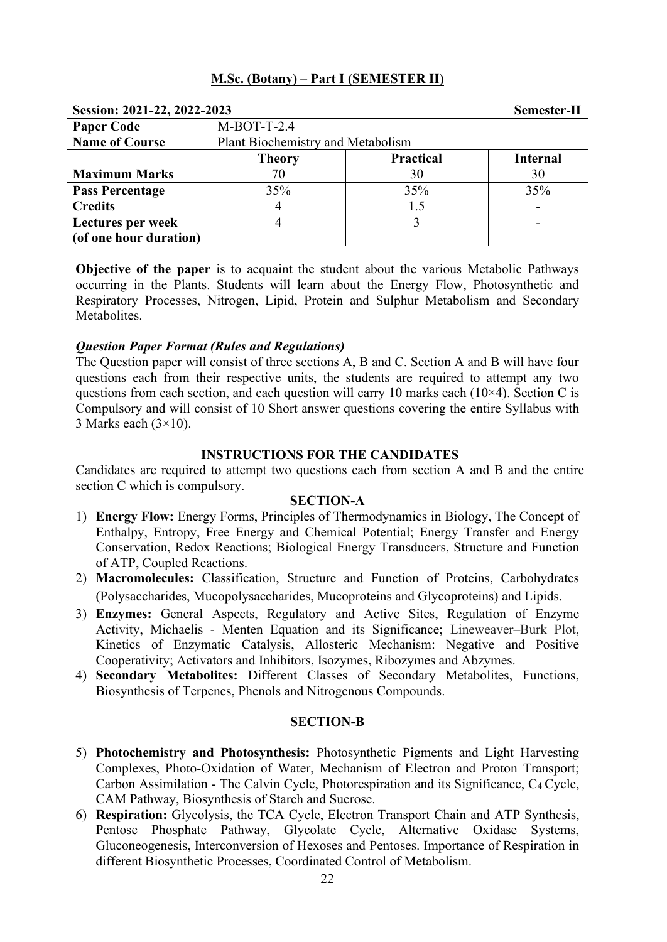| M.Sc. (Botany) – Part I (SEMESTER II) |
|---------------------------------------|
|---------------------------------------|

| Session: 2021-22, 2022-2023 |                                   |                  | Semester-II     |
|-----------------------------|-----------------------------------|------------------|-----------------|
| <b>Paper Code</b>           | $M-BOT-T-2.4$                     |                  |                 |
| <b>Name of Course</b>       | Plant Biochemistry and Metabolism |                  |                 |
|                             | <b>Theory</b>                     | <b>Practical</b> | <b>Internal</b> |
| <b>Maximum Marks</b>        | 70                                | 30               | 30              |
| <b>Pass Percentage</b>      | 35%                               | 35%              | 35%             |
| <b>Credits</b>              |                                   | 1.5              |                 |
| Lectures per week           |                                   |                  | -               |
| (of one hour duration)      |                                   |                  |                 |

**Objective of the paper** is to acquaint the student about the various Metabolic Pathways occurring in the Plants. Students will learn about the Energy Flow, Photosynthetic and Respiratory Processes, Nitrogen, Lipid, Protein and Sulphur Metabolism and Secondary Metabolites.

# *Question Paper Format (Rules and Regulations)*

The Question paper will consist of three sections A, B and C. Section A and B will have four questions each from their respective units, the students are required to attempt any two questions from each section, and each question will carry 10 marks each  $(10\times4)$ . Section C is Compulsory and will consist of 10 Short answer questions covering the entire Syllabus with 3 Marks each  $(3\times10)$ .

### **INSTRUCTIONS FOR THE CANDIDATES**

Candidates are required to attempt two questions each from section A and B and the entire section C which is compulsory.

### **SECTION-A**

- 1) **Energy Flow:** Energy Forms, Principles of Thermodynamics in Biology, The Concept of Enthalpy, Entropy, Free Energy and Chemical Potential; Energy Transfer and Energy Conservation, Redox Reactions; Biological Energy Transducers, Structure and Function of ATP, Coupled Reactions.
- 2) **Macromolecules:** Classification, Structure and Function of Proteins, Carbohydrates (Polysaccharides, Mucopolysaccharides, Mucoproteins and Glycoproteins) and Lipids.
- 3) **Enzymes:** General Aspects, Regulatory and Active Sites, Regulation of Enzyme Activity, Michaelis - Menten Equation and its Significance; Lineweaver–Burk Plot, Kinetics of Enzymatic Catalysis, Allosteric Mechanism: Negative and Positive Cooperativity; Activators and Inhibitors, Isozymes, Ribozymes and Abzymes.
- 4) **Secondary Metabolites:** Different Classes of Secondary Metabolites, Functions, Biosynthesis of Terpenes, Phenols and Nitrogenous Compounds.

- 5) **Photochemistry and Photosynthesis:** Photosynthetic Pigments and Light Harvesting Complexes, Photo-Oxidation of Water, Mechanism of Electron and Proton Transport; Carbon Assimilation - The Calvin Cycle, Photorespiration and its Significance, C4 Cycle, CAM Pathway, Biosynthesis of Starch and Sucrose.
- 6) **Respiration:** Glycolysis, the TCA Cycle, Electron Transport Chain and ATP Synthesis, Pentose Phosphate Pathway, Glycolate Cycle, Alternative Oxidase Systems, Gluconeogenesis, Interconversion of Hexoses and Pentoses. Importance of Respiration in different Biosynthetic Processes, Coordinated Control of Metabolism.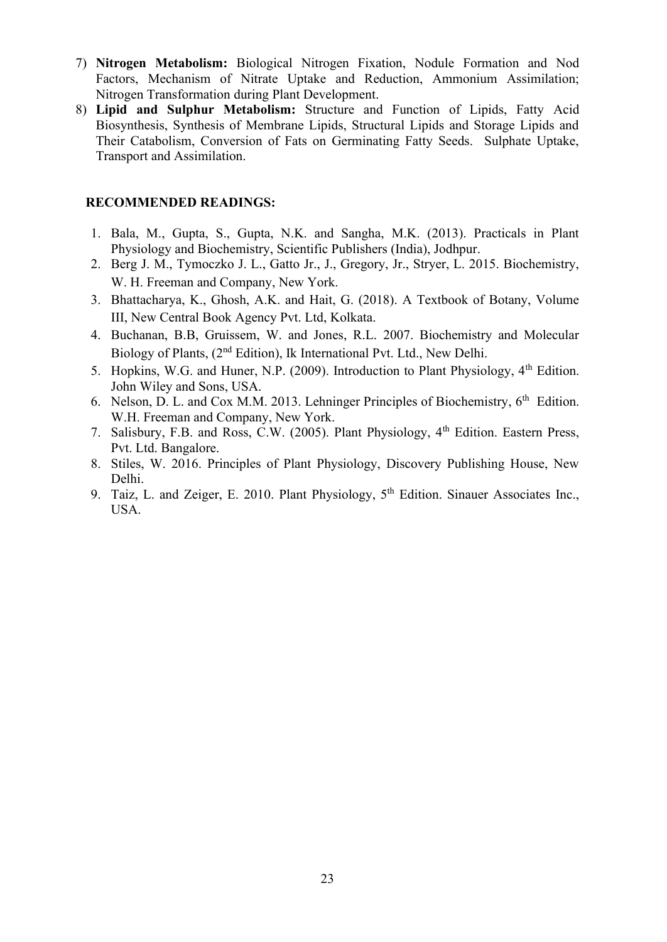- 7) **Nitrogen Metabolism:** Biological Nitrogen Fixation, Nodule Formation and Nod Factors, Mechanism of Nitrate Uptake and Reduction, Ammonium Assimilation; Nitrogen Transformation during Plant Development.
- 8) **Lipid and Sulphur Metabolism:** Structure and Function of Lipids, Fatty Acid Biosynthesis, Synthesis of Membrane Lipids, Structural Lipids and Storage Lipids and Their Catabolism, Conversion of Fats on Germinating Fatty Seeds. Sulphate Uptake, Transport and Assimilation.

- 1. Bala, M., Gupta, S., Gupta, N.K. and Sangha, M.K. (2013). Practicals in Plant Physiology and Biochemistry, Scientific Publishers (India), Jodhpur.
- 2. Berg J. M., Tymoczko J. L., Gatto Jr., J., Gregory, Jr., Stryer, L. 2015. Biochemistry, W. H. Freeman and Company, New York.
- 3. Bhattacharya, K., Ghosh, A.K. and Hait, G. (2018). A Textbook of Botany, Volume III, New Central Book Agency Pvt. Ltd, Kolkata.
- 4. Buchanan, B.B, Gruissem, W. and Jones, R.L. 2007. Biochemistry and Molecular Biology of Plants, (2<sup>nd</sup> Edition), Ik International Pvt. Ltd., New Delhi.
- 5. Hopkins, W.G. and Huner, N.P. (2009). Introduction to Plant Physiology, 4<sup>th</sup> Edition. John Wiley and Sons, USA.
- 6. Nelson, D. L. and Cox M.M. 2013. Lehninger Principles of Biochemistry,  $6<sup>th</sup>$  Edition. W.H. Freeman and Company, New York.
- 7. Salisbury, F.B. and Ross, C.W. (2005). Plant Physiology, 4th Edition. Eastern Press, Pvt. Ltd. Bangalore.
- 8. Stiles, W. 2016. Principles of Plant Physiology, Discovery Publishing House, New Delhi.
- 9. Taiz, L. and Zeiger, E. 2010. Plant Physiology, 5<sup>th</sup> Edition. Sinauer Associates Inc., USA.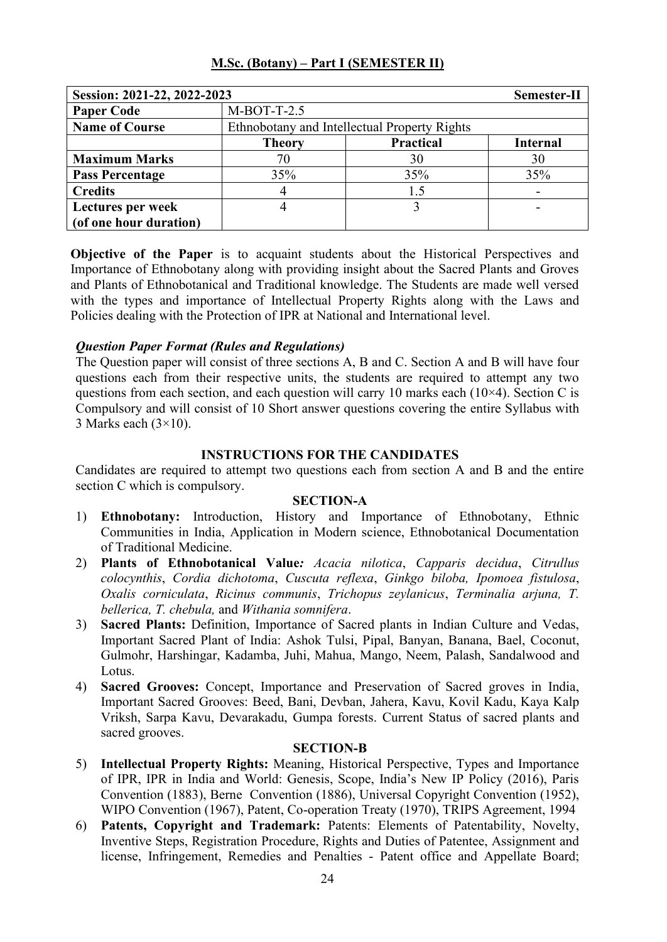| M.Sc. (Botany) – Part I (SEMESTER II) |
|---------------------------------------|
|---------------------------------------|

| Session: 2021-22, 2022-2023 |                                              |                  | Semester-II     |
|-----------------------------|----------------------------------------------|------------------|-----------------|
| <b>Paper Code</b>           | $M-BOT-T-2.5$                                |                  |                 |
| <b>Name of Course</b>       | Ethnobotany and Intellectual Property Rights |                  |                 |
|                             | <b>Theory</b>                                | <b>Practical</b> | <b>Internal</b> |
| <b>Maximum Marks</b>        | 70                                           | 30               | 30              |
| <b>Pass Percentage</b>      | 35%                                          | 35%              | 35%             |
| <b>Credits</b>              |                                              | 1.5              |                 |
| Lectures per week           |                                              |                  |                 |
| (of one hour duration)      |                                              |                  |                 |

**Objective of the Paper** is to acquaint students about the Historical Perspectives and Importance of Ethnobotany along with providing insight about the Sacred Plants and Groves and Plants of Ethnobotanical and Traditional knowledge. The Students are made well versed with the types and importance of Intellectual Property Rights along with the Laws and Policies dealing with the Protection of IPR at National and International level.

# *Question Paper Format (Rules and Regulations)*

The Question paper will consist of three sections A, B and C. Section A and B will have four questions each from their respective units, the students are required to attempt any two questions from each section, and each question will carry 10 marks each  $(10\times4)$ . Section C is Compulsory and will consist of 10 Short answer questions covering the entire Syllabus with 3 Marks each  $(3\times10)$ .

# **INSTRUCTIONS FOR THE CANDIDATES**

Candidates are required to attempt two questions each from section A and B and the entire section C which is compulsory.

# **SECTION-A**

- 1) **Ethnobotany:** Introduction, History and Importance of Ethnobotany, Ethnic Communities in India, Application in Modern science, Ethnobotanical Documentation of Traditional Medicine.
- 2) **Plants of Ethnobotanical Value***: Acacia nilotica*, *Capparis decidua*, *Citrullus colocynthis*, *Cordia dichotoma*, *Cuscuta reflexa*, *Ginkgo biloba, Ipomoea fistulosa*, *Oxalis corniculata*, *Ricinus communis*, *Trichopus zeylanicus*, *Terminalia arjuna, T. bellerica, T. chebula,* and *Withania somnifera*.
- 3) **Sacred Plants:** Definition, Importance of Sacred plants in Indian Culture and Vedas, Important Sacred Plant of India: Ashok Tulsi, Pipal, Banyan, Banana, Bael, Coconut, Gulmohr, Harshingar, Kadamba, Juhi, Mahua, Mango, Neem, Palash, Sandalwood and Lotus.
- 4) **Sacred Grooves:** Concept, Importance and Preservation of Sacred groves in India, Important Sacred Grooves: Beed, Bani, Devban, Jahera, Kavu, Kovil Kadu, Kaya Kalp Vriksh, Sarpa Kavu, Devarakadu, Gumpa forests. Current Status of sacred plants and sacred grooves.

- 5) **Intellectual Property Rights:** Meaning, Historical Perspective, Types and Importance of IPR, IPR in India and World: Genesis, Scope, India's New IP Policy (2016), Paris Convention (1883), Berne Convention (1886), Universal Copyright Convention (1952), WIPO Convention (1967), Patent, Co-operation Treaty (1970), TRIPS Agreement, 1994
- 6) **Patents, Copyright and Trademark:** Patents: Elements of Patentability, Novelty, Inventive Steps, Registration Procedure, Rights and Duties of Patentee, Assignment and license, Infringement, Remedies and Penalties - Patent office and Appellate Board;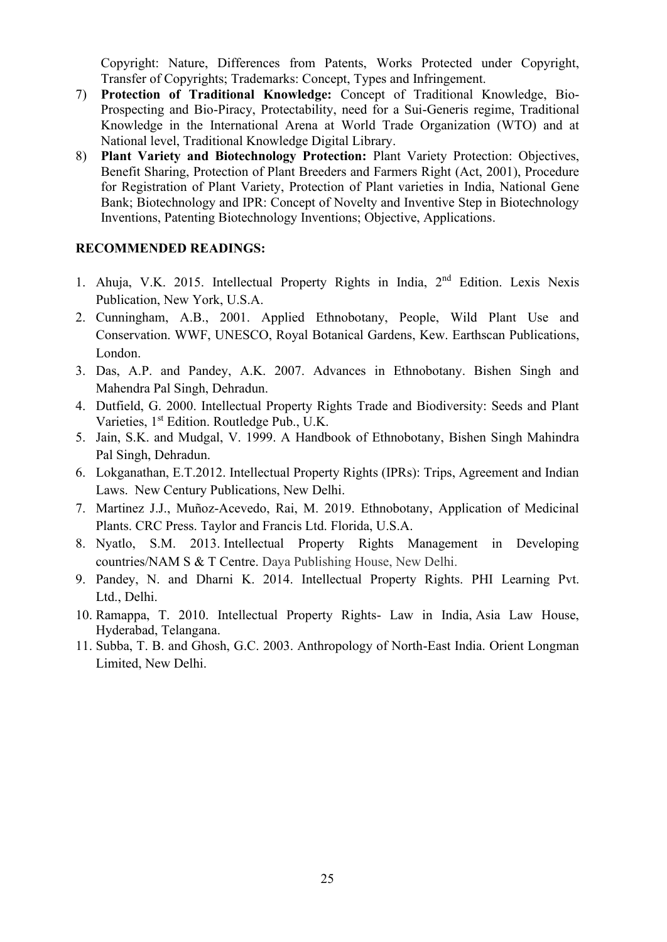Copyright: Nature, Differences from Patents, Works Protected under Copyright, Transfer of Copyrights; Trademarks: Concept, Types and Infringement.

- 7) **Protection of Traditional Knowledge:** Concept of Traditional Knowledge, Bio-Prospecting and Bio-Piracy, Protectability, need for a Sui-Generis regime, Traditional Knowledge in the International Arena at World Trade Organization (WTO) and at National level, Traditional Knowledge Digital Library.
- 8) **Plant Variety and Biotechnology Protection:** Plant Variety Protection: Objectives, Benefit Sharing, Protection of Plant Breeders and Farmers Right (Act, 2001), Procedure for Registration of Plant Variety, Protection of Plant varieties in India, National Gene Bank; Biotechnology and IPR: Concept of Novelty and Inventive Step in Biotechnology Inventions, Patenting Biotechnology Inventions; Objective, Applications.

- 1. Ahuja, V.K. 2015. Intellectual Property Rights in India, 2<sup>nd</sup> Edition. Lexis Nexis Publication, New York, U.S.A.
- 2. Cunningham, A.B., 2001. Applied Ethnobotany, People, Wild Plant Use and Conservation. WWF, UNESCO, Royal Botanical Gardens, Kew. Earthscan Publications, London.
- 3. Das, A.P. and Pandey, A.K. 2007. Advances in Ethnobotany. Bishen Singh and Mahendra Pal Singh, Dehradun.
- 4. Dutfield, G. 2000. Intellectual Property Rights Trade and Biodiversity: Seeds and Plant Varieties, 1<sup>st</sup> Edition. Routledge Pub., U.K.
- 5. Jain, S.K. and Mudgal, V. 1999. A Handbook of Ethnobotany, Bishen Singh Mahindra Pal Singh, Dehradun.
- 6. Lokganathan, E.T.2012. Intellectual Property Rights (IPRs): Trips, Agreement and Indian Laws. New Century Publications, New Delhi.
- 7. Martinez J.J., Muñoz-Acevedo, Rai, M. 2019. Ethnobotany, Application of Medicinal Plants. CRC Press. Taylor and Francis Ltd. Florida, U.S.A.
- 8. [Nyatlo,](https://www.amazon.in/s/ref=dp_byline_sr_book_1?ie=UTF8&field-author=Sheila+Mavis+Nyatlo&search-alias=stripbooks) S.M. 2013. Intellectual Property Rights Management in Developing countries/NAM S & T Centre. Daya Publishing House, New Delhi.
- 9. [Pandey,](https://www.google.co.in/search?tbo=p&tbm=bks&q=inauthor:%22NEERAJ+PANDEY%22) N. and [Dharni](https://www.google.co.in/search?tbo=p&tbm=bks&q=inauthor:%22KHUSHDEEP+DHARNI%22) K. 2014. Intellectual Property Rights. PHI Learning Pvt. Ltd., Delhi.
- 10. [Ramappa,](https://www.amazon.in/s/ref=dp_byline_sr_book_1?ie=UTF8&field-author=T.+Ramappa&search-alias=stripbooks) T. 2010. Intellectual Property Rights- Law in India, Asia Law House, Hyderabad, Telangana.
- 11. Subba, T. B. and Ghosh, G.C. 2003. Anthropology of North-East India. Orient Longman Limited, New Delhi.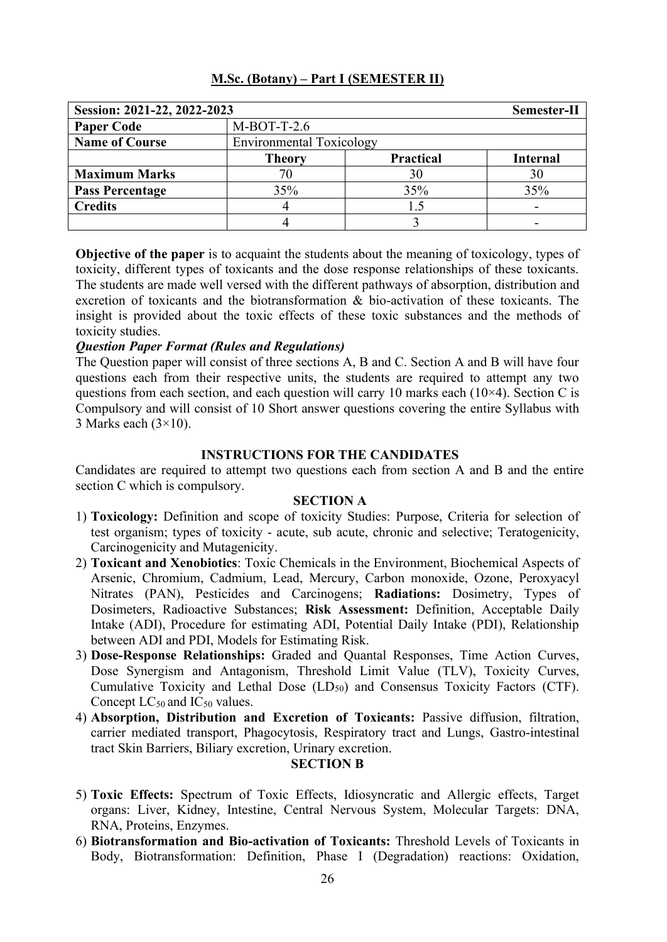| M.Sc. (Botany) – Part I (SEMESTER II) |
|---------------------------------------|
|---------------------------------------|

| Session: 2021-22, 2022-2023 |                                 |                  | Semester-II     |
|-----------------------------|---------------------------------|------------------|-----------------|
| <b>Paper Code</b>           | $M-BOT-T-2.6$                   |                  |                 |
| <b>Name of Course</b>       | <b>Environmental Toxicology</b> |                  |                 |
|                             | <b>Theory</b>                   | <b>Practical</b> | <b>Internal</b> |
| <b>Maximum Marks</b>        |                                 | 30               | 30              |
| <b>Pass Percentage</b>      | 35%                             | 35%              | 35%             |
| <b>Credits</b>              |                                 | 1.5              |                 |
|                             |                                 |                  |                 |

**Objective of the paper** is to acquaint the students about the meaning of toxicology, types of toxicity, different types of toxicants and the dose response relationships of these toxicants. The students are made well versed with the different pathways of absorption, distribution and excretion of toxicants and the biotransformation & bio-activation of these toxicants. The insight is provided about the toxic effects of these toxic substances and the methods of toxicity studies.

### *Question Paper Format (Rules and Regulations)*

The Question paper will consist of three sections A, B and C. Section A and B will have four questions each from their respective units, the students are required to attempt any two questions from each section, and each question will carry 10 marks each  $(10\times4)$ . Section C is Compulsory and will consist of 10 Short answer questions covering the entire Syllabus with 3 Marks each  $(3\times10)$ .

### **INSTRUCTIONS FOR THE CANDIDATES**

Candidates are required to attempt two questions each from section A and B and the entire section C which is compulsory.

### **SECTION A**

- 1) **Toxicology:** Definition and scope of toxicity Studies: Purpose, Criteria for selection of test organism; types of toxicity - acute, sub acute, chronic and selective; Teratogenicity, Carcinogenicity and Mutagenicity.
- 2) **Toxicant and Xenobiotics**: Toxic Chemicals in the Environment, Biochemical Aspects of Arsenic, Chromium, Cadmium, Lead, Mercury, Carbon monoxide, Ozone, Peroxyacyl Nitrates (PAN), Pesticides and Carcinogens; **Radiations:** Dosimetry, Types of Dosimeters, Radioactive Substances; **Risk Assessment:** Definition, Acceptable Daily Intake (ADI), Procedure for estimating ADI, Potential Daily Intake (PDI), Relationship between ADI and PDI, Models for Estimating Risk.
- 3) **Dose-Response Relationships:** Graded and Quantal Responses, Time Action Curves, Dose Synergism and Antagonism, Threshold Limit Value (TLV), Toxicity Curves, Cumulative Toxicity and Lethal Dose  $(LD_{50})$  and Consensus Toxicity Factors (CTF). Concept  $LC_{50}$  and  $IC_{50}$  values.
- 4) **Absorption, Distribution and Excretion of Toxicants:** Passive diffusion, filtration, carrier mediated transport, Phagocytosis, Respiratory tract and Lungs, Gastro-intestinal tract Skin Barriers, Biliary excretion, Urinary excretion.

### **SECTION B**

- 5) **Toxic Effects:** Spectrum of Toxic Effects, Idiosyncratic and Allergic effects, Target organs: Liver, Kidney, Intestine, Central Nervous System, Molecular Targets: DNA, RNA, Proteins, Enzymes.
- 6) **Biotransformation and Bio-activation of Toxicants:** Threshold Levels of Toxicants in Body, Biotransformation: Definition, Phase I (Degradation) reactions: Oxidation,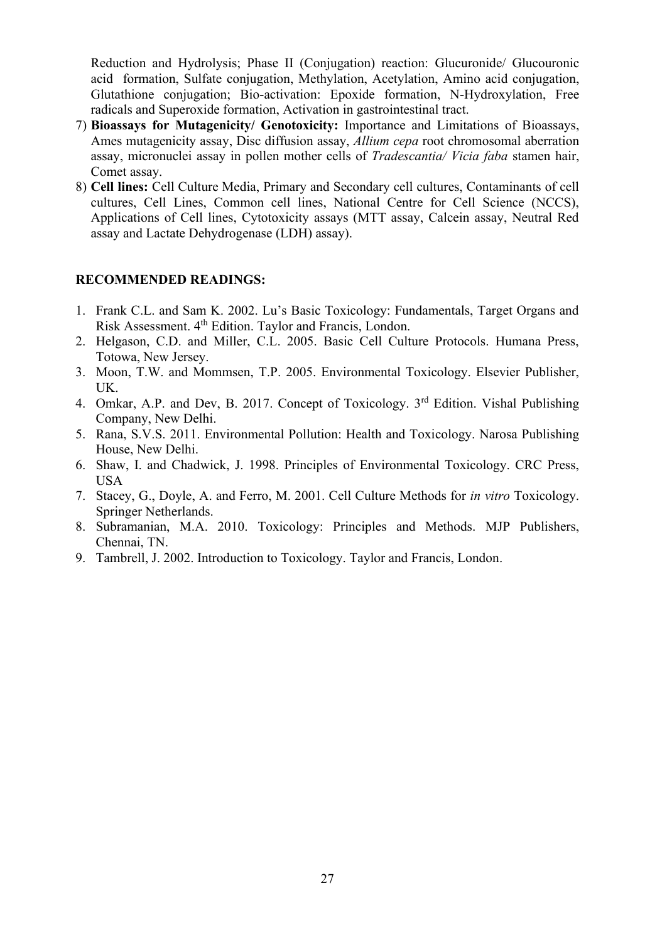Reduction and Hydrolysis; Phase II (Conjugation) reaction: Glucuronide/ Glucouronic acid formation, Sulfate conjugation, Methylation, Acetylation, Amino acid conjugation, Glutathione conjugation; Bio-activation: Epoxide formation, N-Hydroxylation, Free radicals and Superoxide formation, Activation in gastrointestinal tract.

- 7) **Bioassays for Mutagenicity/ Genotoxicity:** Importance and Limitations of Bioassays, Ames mutagenicity assay, Disc diffusion assay, *Allium cepa* root chromosomal aberration assay, micronuclei assay in pollen mother cells of *Tradescantia/ Vicia faba* stamen hair, Comet assay.
- 8) **Cell lines:** Cell Culture Media, Primary and Secondary cell cultures, Contaminants of cell cultures, Cell Lines, Common cell lines, National Centre for Cell Science (NCCS), Applications of Cell lines, Cytotoxicity assays (MTT assay, Calcein assay, Neutral Red assay and Lactate Dehydrogenase (LDH) assay).

- 1. Frank C.L. and Sam K. 2002. Lu's Basic Toxicology: Fundamentals, Target Organs and Risk Assessment. 4th Edition. Taylor and Francis, London.
- 2. Helgason, C.D. and Miller, C.L. 2005. Basic Cell Culture Protocols. Humana Press, Totowa, New Jersey.
- 3. Moon, T.W. and Mommsen, T.P. 2005. Environmental Toxicology. Elsevier Publisher, UK.
- 4. Omkar, A.P. and Dev, B. 2017. Concept of Toxicology. 3<sup>rd</sup> Edition. Vishal Publishing Company, New Delhi.
- 5. Rana, S.V.S. 2011. Environmental Pollution: Health and Toxicology. Narosa Publishing House, New Delhi.
- 6. Shaw, I. and Chadwick, J. 1998. Principles of Environmental Toxicology. CRC Press, USA
- 7. Stacey, G., Doyle, A. and Ferro, M. 2001. Cell Culture Methods for *in vitro* Toxicology. Springer Netherlands.
- 8. Subramanian, M.A. 2010. Toxicology: Principles and Methods. MJP Publishers, Chennai, TN.
- 9. Tambrell, J. 2002. Introduction to Toxicology. Taylor and Francis, London.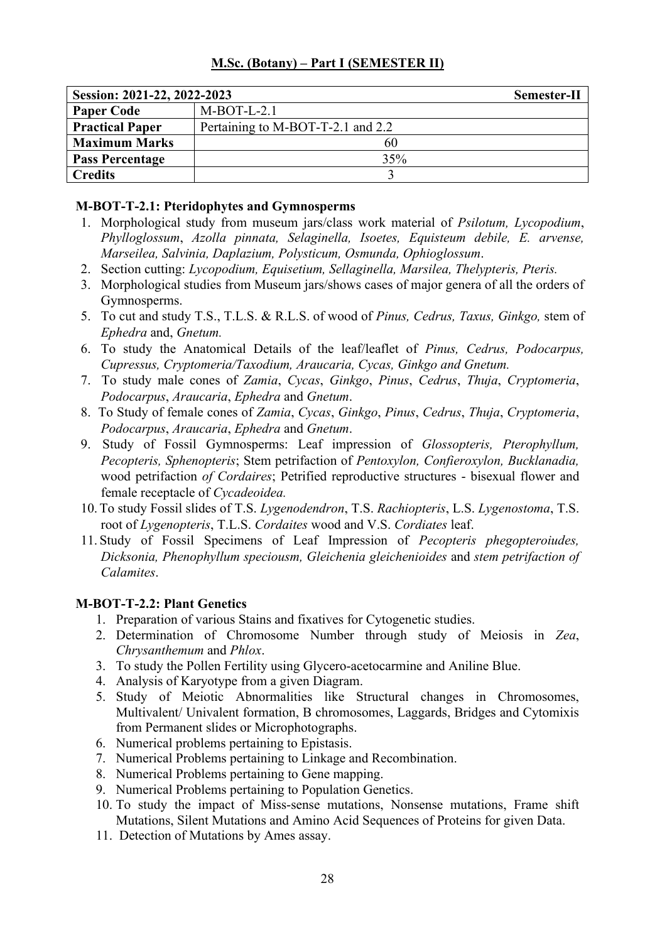| Session: 2021-22, 2022-2023 |                                   | Semester-II |
|-----------------------------|-----------------------------------|-------------|
| <b>Paper Code</b>           | $M-BOT-L-2.1$                     |             |
| <b>Practical Paper</b>      | Pertaining to M-BOT-T-2.1 and 2.2 |             |
| <b>Maximum Marks</b>        | 60                                |             |
| <b>Pass Percentage</b>      | 35%                               |             |
| <b>Credits</b>              |                                   |             |

# **M-BOT-T-2.1: Pteridophytes and Gymnosperms**

- 1. Morphological study from museum jars/class work material of *Psilotum, Lycopodium*, *Phylloglossum*, *Azolla pinnata, Selaginella, Isoetes, Equisteum debile, E. arvense, Marseilea, Salvinia, Daplazium, Polysticum, Osmunda, Ophioglossum*.
- 2. Section cutting: *Lycopodium, Equisetium, Sellaginella, Marsilea, Thelypteris, Pteris.*
- 3. Morphological studies from Museum jars/shows cases of major genera of all the orders of Gymnosperms.
- 5. To cut and study T.S., T.L.S. & R.L.S. of wood of *Pinus, Cedrus, Taxus, Ginkgo,* stem of *Ephedra* and, *Gnetum.*
- 6. To study the Anatomical Details of the leaf/leaflet of *Pinus, Cedrus, Podocarpus, Cupressus, Cryptomeria/Taxodium, Araucaria, Cycas, Ginkgo and Gnetum.*
- 7. To study male cones of *Zamia*, *Cycas*, *Ginkgo*, *Pinus*, *Cedrus*, *Thuja*, *Cryptomeria*, *Podocarpus*, *Araucaria*, *Ephedra* and *Gnetum*.
- 8. To Study of female cones of *Zamia*, *Cycas*, *Ginkgo*, *Pinus*, *Cedrus*, *Thuja*, *Cryptomeria*, *Podocarpus*, *Araucaria*, *Ephedra* and *Gnetum*.
- 9. Study of Fossil Gymnosperms: Leaf impression of *Glossopteris, Pterophyllum, Pecopteris, Sphenopteris*; Stem petrifaction of *Pentoxylon, Confieroxylon, Bucklanadia,* wood petrifaction *of Cordaires*; Petrified reproductive structures - bisexual flower and female receptacle of *Cycadeoidea.*
- 10.To study Fossil slides of T.S. *Lygenodendron*, T.S. *Rachiopteris*, L.S. *Lygenostoma*, T.S. root of *Lygenopteris*, T.L.S. *Cordaites* wood and V.S. *Cordiates* leaf.
- 11. Study of Fossil Specimens of Leaf Impression of *Pecopteris phegopteroiudes, Dicksonia, Phenophyllum speciousm, Gleichenia gleichenioides* and *stem petrifaction of Calamites*.

# **M-BOT-T-2.2: Plant Genetics**

- 1. Preparation of various Stains and fixatives for Cytogenetic studies.
- 2. Determination of Chromosome Number through study of Meiosis in *Zea*, *Chrysanthemum* and *Phlox*.
- 3. To study the Pollen Fertility using Glycero-acetocarmine and Aniline Blue.
- 4. Analysis of Karyotype from a given Diagram.
- 5. Study of Meiotic Abnormalities like Structural changes in Chromosomes, Multivalent/ Univalent formation, B chromosomes, Laggards, Bridges and Cytomixis from Permanent slides or Microphotographs.
- 6. Numerical problems pertaining to Epistasis.
- 7. Numerical Problems pertaining to Linkage and Recombination.
- 8. Numerical Problems pertaining to Gene mapping.
- 9. Numerical Problems pertaining to Population Genetics.
- 10. To study the impact of Miss-sense mutations, Nonsense mutations, Frame shift Mutations, Silent Mutations and Amino Acid Sequences of Proteins for given Data.
- 11. Detection of Mutations by Ames assay.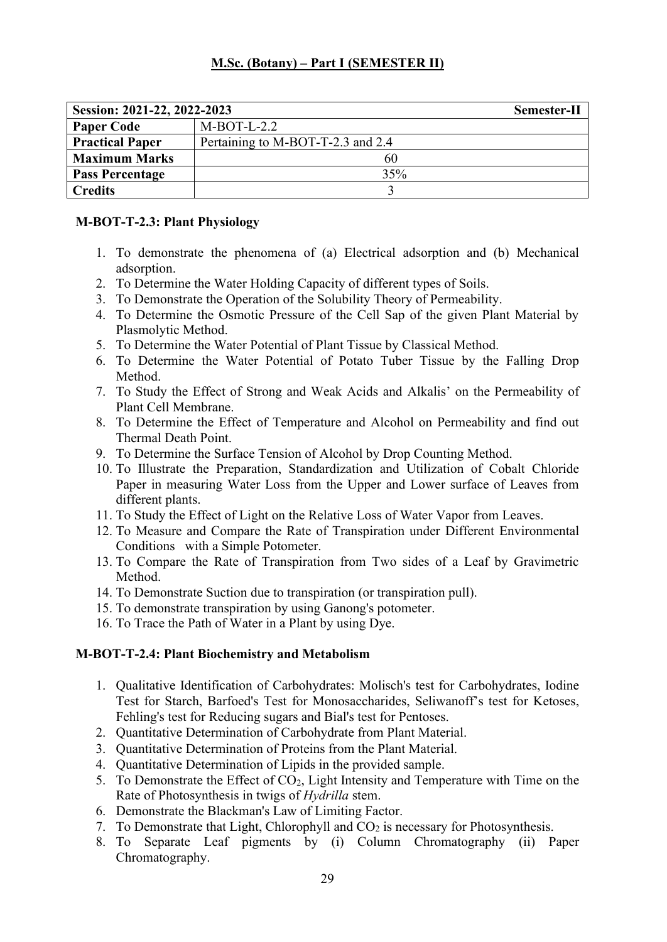| Session: 2021-22, 2022-2023 |                                   | Semester-II |
|-----------------------------|-----------------------------------|-------------|
| <b>Paper Code</b>           | $M-BOT-L-2.2$                     |             |
| <b>Practical Paper</b>      | Pertaining to M-BOT-T-2.3 and 2.4 |             |
| <b>Maximum Marks</b>        | 60                                |             |
| <b>Pass Percentage</b>      | 35%                               |             |
| <b>Credits</b>              |                                   |             |

# **M-BOT-T-2.3: Plant Physiology**

- 1. To demonstrate the phenomena of (a) Electrical adsorption and (b) Mechanical adsorption.
- 2. To Determine the Water Holding Capacity of different types of Soils.
- 3. To Demonstrate the Operation of the Solubility Theory of Permeability.
- 4. To Determine the Osmotic Pressure of the Cell Sap of the given Plant Material by Plasmolytic Method.
- 5. To Determine the Water Potential of Plant Tissue by Classical Method.
- 6. To Determine the Water Potential of Potato Tuber Tissue by the Falling Drop Method.
- 7. To Study the Effect of Strong and Weak Acids and Alkalis' on the Permeability of Plant Cell Membrane.
- 8. To Determine the Effect of Temperature and Alcohol on Permeability and find out Thermal Death Point.
- 9. To Determine the Surface Tension of Alcohol by Drop Counting Method.
- 10. To Illustrate the Preparation, Standardization and Utilization of Cobalt Chloride Paper in measuring Water Loss from the Upper and Lower surface of Leaves from different plants.
- 11. To Study the Effect of Light on the Relative Loss of Water Vapor from Leaves.
- 12. To Measure and Compare the Rate of Transpiration under Different Environmental Conditions with a Simple Potometer.
- 13. To Compare the Rate of Transpiration from Two sides of a Leaf by Gravimetric Method.
- 14. To Demonstrate Suction due to transpiration (or transpiration pull).
- 15. To demonstrate transpiration by using Ganong's potometer.
- 16. To Trace the Path of Water in a Plant by using Dye.

# **M-BOT-T-2.4: Plant Biochemistry and Metabolism**

- 1. Qualitative Identification of Carbohydrates: Molisch's test for Carbohydrates, Iodine Test for Starch, Barfoed's Test for Monosaccharides, Seliwanoff's test for Ketoses, Fehling's test for Reducing sugars and Bial's test for Pentoses.
- 2. Quantitative Determination of Carbohydrate from Plant Material.
- 3. Quantitative Determination of Proteins from the Plant Material.
- 4. Quantitative Determination of Lipids in the provided sample.
- 5. To Demonstrate the Effect of  $CO<sub>2</sub>$ , Light Intensity and Temperature with Time on the Rate of Photosynthesis in twigs of *Hydrilla* stem.
- 6. Demonstrate the Blackman's Law of Limiting Factor.
- 7. To Demonstrate that Light, Chlorophyll and  $CO<sub>2</sub>$  is necessary for Photosynthesis.
- 8. To Separate Leaf pigments by (i) Column Chromatography (ii) Paper Chromatography.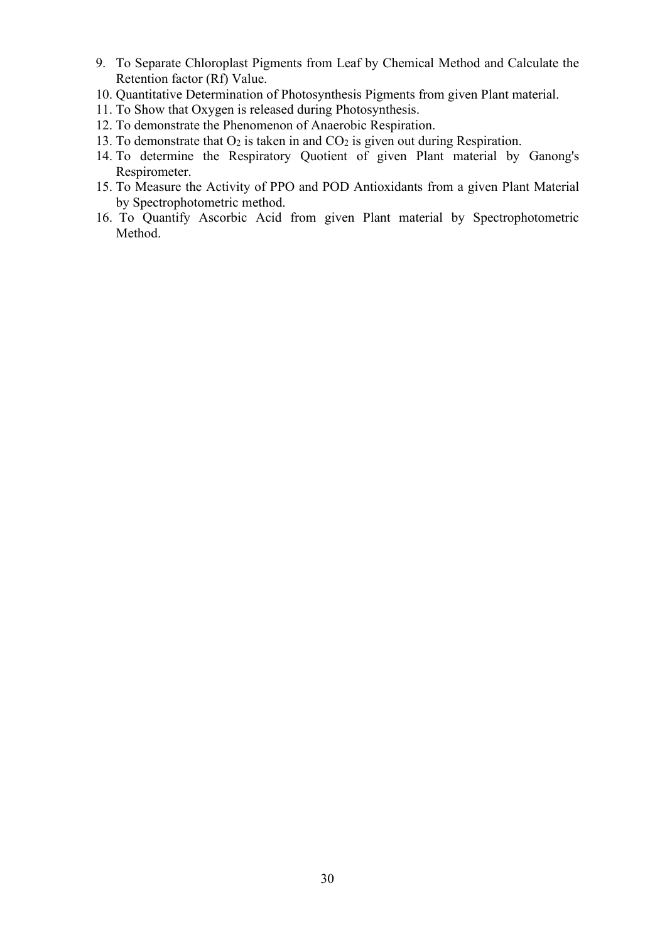- 9. To Separate Chloroplast Pigments from Leaf by Chemical Method and Calculate the Retention factor (Rf) Value.
- 10. Quantitative Determination of Photosynthesis Pigments from given Plant material.
- 11. To Show that Oxygen is released during Photosynthesis.
- 12. To demonstrate the Phenomenon of Anaerobic Respiration.
- 13. To demonstrate that  $O_2$  is taken in and  $CO_2$  is given out during Respiration.
- 14. To determine the Respiratory Quotient of given Plant material by Ganong's Respirometer.
- 15. To Measure the Activity of PPO and POD Antioxidants from a given Plant Material by Spectrophotometric method.
- 16. To Quantify Ascorbic Acid from given Plant material by Spectrophotometric Method.